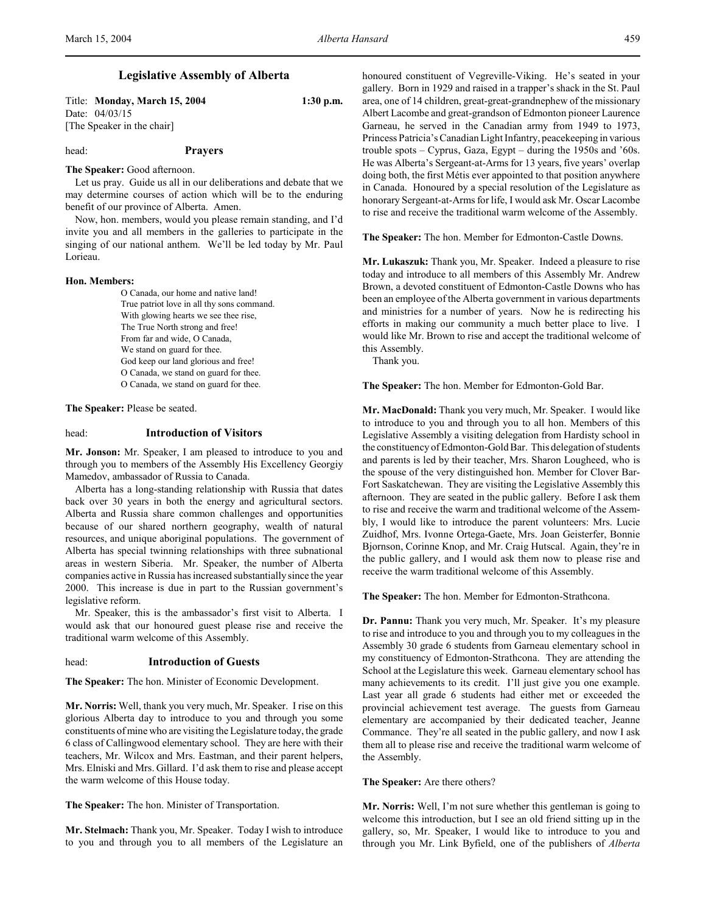# **Legislative Assembly of Alberta**

Title: **Monday, March 15, 2004 1:30 p.m.** Date: 04/03/15 [The Speaker in the chair]

# head: **Prayers**

### **The Speaker:** Good afternoon.

Let us pray. Guide us all in our deliberations and debate that we may determine courses of action which will be to the enduring benefit of our province of Alberta. Amen.

Now, hon. members, would you please remain standing, and I'd invite you and all members in the galleries to participate in the singing of our national anthem. We'll be led today by Mr. Paul Lorieau.

# **Hon. Members:**

O Canada, our home and native land! True patriot love in all thy sons command. With glowing hearts we see thee rise, The True North strong and free! From far and wide, O Canada, We stand on guard for thee. God keep our land glorious and free! O Canada, we stand on guard for thee. O Canada, we stand on guard for thee.

**The Speaker:** Please be seated.

# head: **Introduction of Visitors**

**Mr. Jonson:** Mr. Speaker, I am pleased to introduce to you and through you to members of the Assembly His Excellency Georgiy Mamedov, ambassador of Russia to Canada.

Alberta has a long-standing relationship with Russia that dates back over 30 years in both the energy and agricultural sectors. Alberta and Russia share common challenges and opportunities because of our shared northern geography, wealth of natural resources, and unique aboriginal populations. The government of Alberta has special twinning relationships with three subnational areas in western Siberia. Mr. Speaker, the number of Alberta companies active in Russia has increased substantially since the year 2000. This increase is due in part to the Russian government's legislative reform.

Mr. Speaker, this is the ambassador's first visit to Alberta. I would ask that our honoured guest please rise and receive the traditional warm welcome of this Assembly.

#### head: **Introduction of Guests**

**The Speaker:** The hon. Minister of Economic Development.

**Mr. Norris:** Well, thank you very much, Mr. Speaker. I rise on this glorious Alberta day to introduce to you and through you some constituents of mine who are visiting the Legislature today, the grade 6 class of Callingwood elementary school. They are here with their teachers, Mr. Wilcox and Mrs. Eastman, and their parent helpers, Mrs. Elniski and Mrs. Gillard. I'd ask them to rise and please accept the warm welcome of this House today.

**The Speaker:** The hon. Minister of Transportation.

**Mr. Stelmach:** Thank you, Mr. Speaker. Today I wish to introduce to you and through you to all members of the Legislature an

honoured constituent of Vegreville-Viking. He's seated in your gallery. Born in 1929 and raised in a trapper's shack in the St. Paul area, one of 14 children, great-great-grandnephew of the missionary Albert Lacombe and great-grandson of Edmonton pioneer Laurence Garneau, he served in the Canadian army from 1949 to 1973, Princess Patricia's Canadian Light Infantry, peacekeeping in various trouble spots – Cyprus, Gaza, Egypt – during the 1950s and '60s. He was Alberta's Sergeant-at-Arms for 13 years, five years' overlap doing both, the first Métis ever appointed to that position anywhere in Canada. Honoured by a special resolution of the Legislature as honorary Sergeant-at-Arms for life, I would ask Mr. Oscar Lacombe to rise and receive the traditional warm welcome of the Assembly.

**The Speaker:** The hon. Member for Edmonton-Castle Downs.

**Mr. Lukaszuk:** Thank you, Mr. Speaker. Indeed a pleasure to rise today and introduce to all members of this Assembly Mr. Andrew Brown, a devoted constituent of Edmonton-Castle Downs who has been an employee of the Alberta government in various departments and ministries for a number of years. Now he is redirecting his efforts in making our community a much better place to live. I would like Mr. Brown to rise and accept the traditional welcome of this Assembly.

Thank you.

**The Speaker:** The hon. Member for Edmonton-Gold Bar.

**Mr. MacDonald:** Thank you very much, Mr. Speaker. I would like to introduce to you and through you to all hon. Members of this Legislative Assembly a visiting delegation from Hardisty school in the constituency of Edmonton-Gold Bar. This delegation of students and parents is led by their teacher, Mrs. Sharon Lougheed, who is the spouse of the very distinguished hon. Member for Clover Bar-Fort Saskatchewan. They are visiting the Legislative Assembly this afternoon. They are seated in the public gallery. Before I ask them to rise and receive the warm and traditional welcome of the Assembly, I would like to introduce the parent volunteers: Mrs. Lucie Zuidhof, Mrs. Ivonne Ortega-Gaete, Mrs. Joan Geisterfer, Bonnie Bjornson, Corinne Knop, and Mr. Craig Hutscal. Again, they're in the public gallery, and I would ask them now to please rise and receive the warm traditional welcome of this Assembly.

**The Speaker:** The hon. Member for Edmonton-Strathcona.

**Dr. Pannu:** Thank you very much, Mr. Speaker. It's my pleasure to rise and introduce to you and through you to my colleagues in the Assembly 30 grade 6 students from Garneau elementary school in my constituency of Edmonton-Strathcona. They are attending the School at the Legislature this week. Garneau elementary school has many achievements to its credit. I'll just give you one example. Last year all grade 6 students had either met or exceeded the provincial achievement test average. The guests from Garneau elementary are accompanied by their dedicated teacher, Jeanne Commance. They're all seated in the public gallery, and now I ask them all to please rise and receive the traditional warm welcome of the Assembly.

### **The Speaker:** Are there others?

**Mr. Norris:** Well, I'm not sure whether this gentleman is going to welcome this introduction, but I see an old friend sitting up in the gallery, so, Mr. Speaker, I would like to introduce to you and through you Mr. Link Byfield, one of the publishers of *Alberta*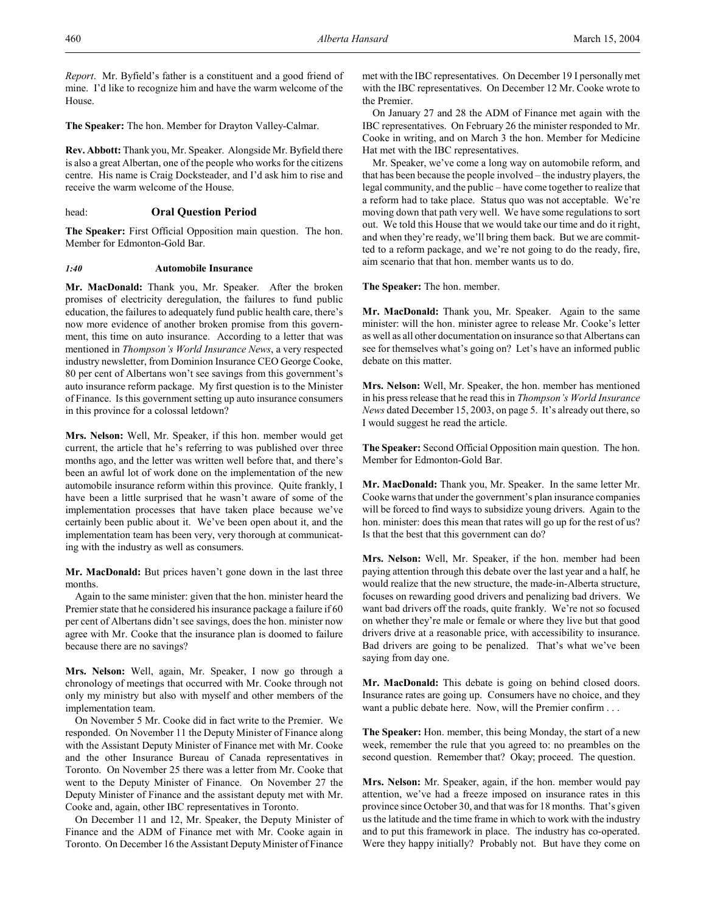*Report*. Mr. Byfield's father is a constituent and a good friend of mine. I'd like to recognize him and have the warm welcome of the House.

**The Speaker:** The hon. Member for Drayton Valley-Calmar.

**Rev. Abbott:** Thank you, Mr. Speaker. Alongside Mr. Byfield there is also a great Albertan, one of the people who works for the citizens centre. His name is Craig Docksteader, and I'd ask him to rise and receive the warm welcome of the House.

head: **Oral Question Period**

**The Speaker:** First Official Opposition main question. The hon. Member for Edmonton-Gold Bar.

### *1:40* **Automobile Insurance**

**Mr. MacDonald:** Thank you, Mr. Speaker. After the broken promises of electricity deregulation, the failures to fund public education, the failures to adequately fund public health care, there's now more evidence of another broken promise from this government, this time on auto insurance. According to a letter that was mentioned in *Thompson's World Insurance News*, a very respected industry newsletter, from Dominion Insurance CEO George Cooke, 80 per cent of Albertans won't see savings from this government's auto insurance reform package. My first question is to the Minister of Finance. Is this government setting up auto insurance consumers in this province for a colossal letdown?

**Mrs. Nelson:** Well, Mr. Speaker, if this hon. member would get current, the article that he's referring to was published over three months ago, and the letter was written well before that, and there's been an awful lot of work done on the implementation of the new automobile insurance reform within this province. Quite frankly, I have been a little surprised that he wasn't aware of some of the implementation processes that have taken place because we've certainly been public about it. We've been open about it, and the implementation team has been very, very thorough at communicating with the industry as well as consumers.

Mr. MacDonald: But prices haven't gone down in the last three months.

Again to the same minister: given that the hon. minister heard the Premier state that he considered his insurance package a failure if 60 per cent of Albertans didn't see savings, does the hon. minister now agree with Mr. Cooke that the insurance plan is doomed to failure because there are no savings?

**Mrs. Nelson:** Well, again, Mr. Speaker, I now go through a chronology of meetings that occurred with Mr. Cooke through not only my ministry but also with myself and other members of the implementation team.

On November 5 Mr. Cooke did in fact write to the Premier. We responded. On November 11 the Deputy Minister of Finance along with the Assistant Deputy Minister of Finance met with Mr. Cooke and the other Insurance Bureau of Canada representatives in Toronto. On November 25 there was a letter from Mr. Cooke that went to the Deputy Minister of Finance. On November 27 the Deputy Minister of Finance and the assistant deputy met with Mr. Cooke and, again, other IBC representatives in Toronto.

On December 11 and 12, Mr. Speaker, the Deputy Minister of Finance and the ADM of Finance met with Mr. Cooke again in Toronto. On December 16 the Assistant Deputy Minister of Finance

met with the IBC representatives. On December 19 I personally met with the IBC representatives. On December 12 Mr. Cooke wrote to the Premier.

On January 27 and 28 the ADM of Finance met again with the IBC representatives. On February 26 the minister responded to Mr. Cooke in writing, and on March 3 the hon. Member for Medicine Hat met with the IBC representatives.

Mr. Speaker, we've come a long way on automobile reform, and that has been because the people involved – the industry players, the legal community, and the public – have come together to realize that a reform had to take place. Status quo was not acceptable. We're moving down that path very well. We have some regulations to sort out. We told this House that we would take our time and do it right, and when they're ready, we'll bring them back. But we are committed to a reform package, and we're not going to do the ready, fire, aim scenario that that hon. member wants us to do.

**The Speaker:** The hon. member.

**Mr. MacDonald:** Thank you, Mr. Speaker. Again to the same minister: will the hon. minister agree to release Mr. Cooke's letter as well as all other documentation on insurance so that Albertans can see for themselves what's going on? Let's have an informed public debate on this matter.

**Mrs. Nelson:** Well, Mr. Speaker, the hon. member has mentioned in his press release that he read this in *Thompson's World Insurance News* dated December 15, 2003, on page 5. It's already out there, so I would suggest he read the article.

**The Speaker:** Second Official Opposition main question. The hon. Member for Edmonton-Gold Bar.

**Mr. MacDonald:** Thank you, Mr. Speaker. In the same letter Mr. Cooke warns that under the government's plan insurance companies will be forced to find ways to subsidize young drivers. Again to the hon. minister: does this mean that rates will go up for the rest of us? Is that the best that this government can do?

**Mrs. Nelson:** Well, Mr. Speaker, if the hon. member had been paying attention through this debate over the last year and a half, he would realize that the new structure, the made-in-Alberta structure, focuses on rewarding good drivers and penalizing bad drivers. We want bad drivers off the roads, quite frankly. We're not so focused on whether they're male or female or where they live but that good drivers drive at a reasonable price, with accessibility to insurance. Bad drivers are going to be penalized. That's what we've been saying from day one.

**Mr. MacDonald:** This debate is going on behind closed doors. Insurance rates are going up. Consumers have no choice, and they want a public debate here. Now, will the Premier confirm . . .

**The Speaker:** Hon. member, this being Monday, the start of a new week, remember the rule that you agreed to: no preambles on the second question. Remember that? Okay; proceed. The question.

**Mrs. Nelson:** Mr. Speaker, again, if the hon. member would pay attention, we've had a freeze imposed on insurance rates in this province since October 30, and that was for 18 months. That's given us the latitude and the time frame in which to work with the industry and to put this framework in place. The industry has co-operated. Were they happy initially? Probably not. But have they come on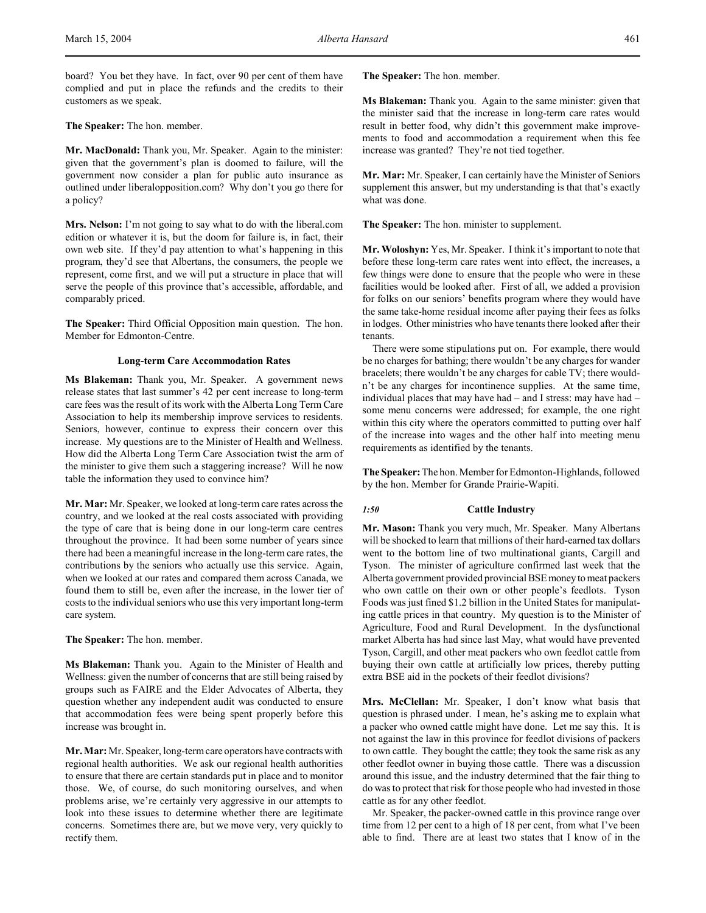board? You bet they have. In fact, over 90 per cent of them have complied and put in place the refunds and the credits to their customers as we speak.

**The Speaker:** The hon. member.

**Mr. MacDonald:** Thank you, Mr. Speaker. Again to the minister: given that the government's plan is doomed to failure, will the government now consider a plan for public auto insurance as outlined under liberalopposition.com? Why don't you go there for a policy?

**Mrs. Nelson:** I'm not going to say what to do with the liberal.com edition or whatever it is, but the doom for failure is, in fact, their own web site. If they'd pay attention to what's happening in this program, they'd see that Albertans, the consumers, the people we represent, come first, and we will put a structure in place that will serve the people of this province that's accessible, affordable, and comparably priced.

**The Speaker:** Third Official Opposition main question. The hon. Member for Edmonton-Centre.

# **Long-term Care Accommodation Rates**

**Ms Blakeman:** Thank you, Mr. Speaker. A government news release states that last summer's 42 per cent increase to long-term care fees was the result of its work with the Alberta Long Term Care Association to help its membership improve services to residents. Seniors, however, continue to express their concern over this increase. My questions are to the Minister of Health and Wellness. How did the Alberta Long Term Care Association twist the arm of the minister to give them such a staggering increase? Will he now table the information they used to convince him?

**Mr. Mar:** Mr. Speaker, we looked at long-term care rates across the country, and we looked at the real costs associated with providing the type of care that is being done in our long-term care centres throughout the province. It had been some number of years since there had been a meaningful increase in the long-term care rates, the contributions by the seniors who actually use this service. Again, when we looked at our rates and compared them across Canada, we found them to still be, even after the increase, in the lower tier of costs to the individual seniors who use this very important long-term care system.

**The Speaker:** The hon. member.

**Ms Blakeman:** Thank you. Again to the Minister of Health and Wellness: given the number of concerns that are still being raised by groups such as FAIRE and the Elder Advocates of Alberta, they question whether any independent audit was conducted to ensure that accommodation fees were being spent properly before this increase was brought in.

**Mr. Mar:** Mr. Speaker, long-term care operators have contracts with regional health authorities. We ask our regional health authorities to ensure that there are certain standards put in place and to monitor those. We, of course, do such monitoring ourselves, and when problems arise, we're certainly very aggressive in our attempts to look into these issues to determine whether there are legitimate concerns. Sometimes there are, but we move very, very quickly to rectify them.

**The Speaker:** The hon. member.

**Ms Blakeman:** Thank you. Again to the same minister: given that the minister said that the increase in long-term care rates would result in better food, why didn't this government make improvements to food and accommodation a requirement when this fee increase was granted? They're not tied together.

**Mr. Mar:** Mr. Speaker, I can certainly have the Minister of Seniors supplement this answer, but my understanding is that that's exactly what was done.

**The Speaker:** The hon. minister to supplement.

**Mr. Woloshyn:** Yes, Mr. Speaker. I think it's important to note that before these long-term care rates went into effect, the increases, a few things were done to ensure that the people who were in these facilities would be looked after. First of all, we added a provision for folks on our seniors' benefits program where they would have the same take-home residual income after paying their fees as folks in lodges. Other ministries who have tenants there looked after their tenants.

There were some stipulations put on. For example, there would be no charges for bathing; there wouldn't be any charges for wander bracelets; there wouldn't be any charges for cable TV; there wouldn't be any charges for incontinence supplies. At the same time, individual places that may have had – and I stress: may have had – some menu concerns were addressed; for example, the one right within this city where the operators committed to putting over half of the increase into wages and the other half into meeting menu requirements as identified by the tenants.

**The Speaker:** The hon. Member for Edmonton-Highlands, followed by the hon. Member for Grande Prairie-Wapiti.

### *1:50* **Cattle Industry**

**Mr. Mason:** Thank you very much, Mr. Speaker. Many Albertans will be shocked to learn that millions of their hard-earned tax dollars went to the bottom line of two multinational giants, Cargill and Tyson. The minister of agriculture confirmed last week that the Alberta government provided provincial BSE money to meat packers who own cattle on their own or other people's feedlots. Tyson Foods was just fined \$1.2 billion in the United States for manipulating cattle prices in that country. My question is to the Minister of Agriculture, Food and Rural Development. In the dysfunctional market Alberta has had since last May, what would have prevented Tyson, Cargill, and other meat packers who own feedlot cattle from buying their own cattle at artificially low prices, thereby putting extra BSE aid in the pockets of their feedlot divisions?

**Mrs. McClellan:** Mr. Speaker, I don't know what basis that question is phrased under. I mean, he's asking me to explain what a packer who owned cattle might have done. Let me say this. It is not against the law in this province for feedlot divisions of packers to own cattle. They bought the cattle; they took the same risk as any other feedlot owner in buying those cattle. There was a discussion around this issue, and the industry determined that the fair thing to do was to protect that risk for those people who had invested in those cattle as for any other feedlot.

Mr. Speaker, the packer-owned cattle in this province range over time from 12 per cent to a high of 18 per cent, from what I've been able to find. There are at least two states that I know of in the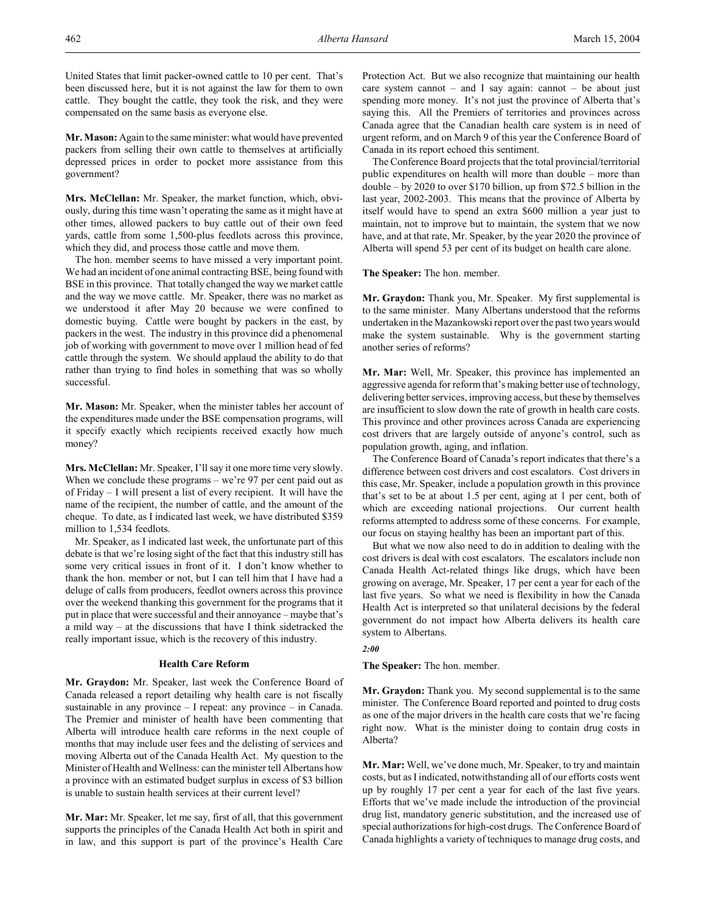United States that limit packer-owned cattle to 10 per cent. That's been discussed here, but it is not against the law for them to own cattle. They bought the cattle, they took the risk, and they were compensated on the same basis as everyone else.

**Mr. Mason:** Again to the same minister: what would have prevented packers from selling their own cattle to themselves at artificially depressed prices in order to pocket more assistance from this government?

**Mrs. McClellan:** Mr. Speaker, the market function, which, obviously, during this time wasn't operating the same as it might have at other times, allowed packers to buy cattle out of their own feed yards, cattle from some 1,500-plus feedlots across this province, which they did, and process those cattle and move them.

The hon. member seems to have missed a very important point. We had an incident of one animal contracting BSE, being found with BSE in this province. That totally changed the way we market cattle and the way we move cattle. Mr. Speaker, there was no market as we understood it after May 20 because we were confined to domestic buying. Cattle were bought by packers in the east, by packers in the west. The industry in this province did a phenomenal job of working with government to move over 1 million head of fed cattle through the system. We should applaud the ability to do that rather than trying to find holes in something that was so wholly successful.

**Mr. Mason:** Mr. Speaker, when the minister tables her account of the expenditures made under the BSE compensation programs, will it specify exactly which recipients received exactly how much money?

**Mrs. McClellan:** Mr. Speaker, I'll say it one more time very slowly. When we conclude these programs – we're 97 per cent paid out as of Friday – I will present a list of every recipient. It will have the name of the recipient, the number of cattle, and the amount of the cheque. To date, as I indicated last week, we have distributed \$359 million to 1,534 feedlots.

Mr. Speaker, as I indicated last week, the unfortunate part of this debate is that we're losing sight of the fact that this industry still has some very critical issues in front of it. I don't know whether to thank the hon. member or not, but I can tell him that I have had a deluge of calls from producers, feedlot owners across this province over the weekend thanking this government for the programs that it put in place that were successful and their annoyance – maybe that's a mild way – at the discussions that have I think sidetracked the really important issue, which is the recovery of this industry.

# **Health Care Reform**

**Mr. Graydon:** Mr. Speaker, last week the Conference Board of Canada released a report detailing why health care is not fiscally sustainable in any province – I repeat: any province – in Canada. The Premier and minister of health have been commenting that Alberta will introduce health care reforms in the next couple of months that may include user fees and the delisting of services and moving Alberta out of the Canada Health Act. My question to the Minister of Health and Wellness: can the minister tell Albertans how a province with an estimated budget surplus in excess of \$3 billion is unable to sustain health services at their current level?

**Mr. Mar:** Mr. Speaker, let me say, first of all, that this government supports the principles of the Canada Health Act both in spirit and in law, and this support is part of the province's Health Care

Protection Act. But we also recognize that maintaining our health care system cannot  $-$  and I say again: cannot  $-$  be about just spending more money. It's not just the province of Alberta that's saying this. All the Premiers of territories and provinces across Canada agree that the Canadian health care system is in need of urgent reform, and on March 9 of this year the Conference Board of Canada in its report echoed this sentiment.

The Conference Board projects that the total provincial/territorial public expenditures on health will more than double – more than double – by 2020 to over \$170 billion, up from \$72.5 billion in the last year, 2002-2003. This means that the province of Alberta by itself would have to spend an extra \$600 million a year just to maintain, not to improve but to maintain, the system that we now have, and at that rate, Mr. Speaker, by the year 2020 the province of Alberta will spend 53 per cent of its budget on health care alone.

**The Speaker:** The hon. member.

**Mr. Graydon:** Thank you, Mr. Speaker. My first supplemental is to the same minister. Many Albertans understood that the reforms undertaken in the Mazankowski report over the past two years would make the system sustainable. Why is the government starting another series of reforms?

**Mr. Mar:** Well, Mr. Speaker, this province has implemented an aggressive agenda for reform that's making better use of technology, delivering better services, improving access, but these by themselves are insufficient to slow down the rate of growth in health care costs. This province and other provinces across Canada are experiencing cost drivers that are largely outside of anyone's control, such as population growth, aging, and inflation.

The Conference Board of Canada's report indicates that there's a difference between cost drivers and cost escalators. Cost drivers in this case, Mr. Speaker, include a population growth in this province that's set to be at about 1.5 per cent, aging at 1 per cent, both of which are exceeding national projections. Our current health reforms attempted to address some of these concerns. For example, our focus on staying healthy has been an important part of this.

But what we now also need to do in addition to dealing with the cost drivers is deal with cost escalators. The escalators include non Canada Health Act-related things like drugs, which have been growing on average, Mr. Speaker, 17 per cent a year for each of the last five years. So what we need is flexibility in how the Canada Health Act is interpreted so that unilateral decisions by the federal government do not impact how Alberta delivers its health care system to Albertans.

# *2:00*

**The Speaker:** The hon. member.

**Mr. Graydon:** Thank you. My second supplemental is to the same minister. The Conference Board reported and pointed to drug costs as one of the major drivers in the health care costs that we're facing right now. What is the minister doing to contain drug costs in Alberta?

**Mr. Mar:** Well, we've done much, Mr. Speaker, to try and maintain costs, but as I indicated, notwithstanding all of our efforts costs went up by roughly 17 per cent a year for each of the last five years. Efforts that we've made include the introduction of the provincial drug list, mandatory generic substitution, and the increased use of special authorizations for high-cost drugs. The Conference Board of Canada highlights a variety of techniques to manage drug costs, and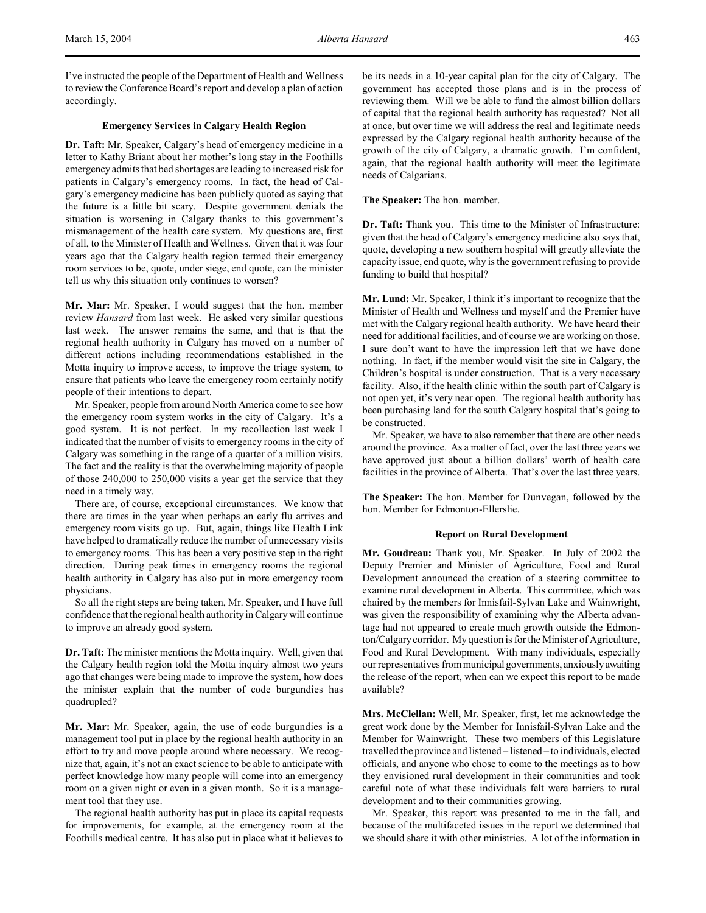I've instructed the people of the Department of Health and Wellness to review the Conference Board's report and develop a plan of action accordingly.

# **Emergency Services in Calgary Health Region**

**Dr. Taft:** Mr. Speaker, Calgary's head of emergency medicine in a letter to Kathy Briant about her mother's long stay in the Foothills emergency admits that bed shortages are leading to increased risk for patients in Calgary's emergency rooms. In fact, the head of Calgary's emergency medicine has been publicly quoted as saying that the future is a little bit scary. Despite government denials the situation is worsening in Calgary thanks to this government's mismanagement of the health care system. My questions are, first of all, to the Minister of Health and Wellness. Given that it was four years ago that the Calgary health region termed their emergency room services to be, quote, under siege, end quote, can the minister tell us why this situation only continues to worsen?

**Mr. Mar:** Mr. Speaker, I would suggest that the hon. member review *Hansard* from last week. He asked very similar questions last week. The answer remains the same, and that is that the regional health authority in Calgary has moved on a number of different actions including recommendations established in the Motta inquiry to improve access, to improve the triage system, to ensure that patients who leave the emergency room certainly notify people of their intentions to depart.

Mr. Speaker, people from around North America come to see how the emergency room system works in the city of Calgary. It's a good system. It is not perfect. In my recollection last week I indicated that the number of visits to emergency rooms in the city of Calgary was something in the range of a quarter of a million visits. The fact and the reality is that the overwhelming majority of people of those 240,000 to 250,000 visits a year get the service that they need in a timely way.

There are, of course, exceptional circumstances. We know that there are times in the year when perhaps an early flu arrives and emergency room visits go up. But, again, things like Health Link have helped to dramatically reduce the number of unnecessary visits to emergency rooms. This has been a very positive step in the right direction. During peak times in emergency rooms the regional health authority in Calgary has also put in more emergency room physicians.

So all the right steps are being taken, Mr. Speaker, and I have full confidence that the regional health authority in Calgary will continue to improve an already good system.

**Dr. Taft:** The minister mentions the Motta inquiry. Well, given that the Calgary health region told the Motta inquiry almost two years ago that changes were being made to improve the system, how does the minister explain that the number of code burgundies has quadrupled?

**Mr. Mar:** Mr. Speaker, again, the use of code burgundies is a management tool put in place by the regional health authority in an effort to try and move people around where necessary. We recognize that, again, it's not an exact science to be able to anticipate with perfect knowledge how many people will come into an emergency room on a given night or even in a given month. So it is a management tool that they use.

The regional health authority has put in place its capital requests for improvements, for example, at the emergency room at the Foothills medical centre. It has also put in place what it believes to

be its needs in a 10-year capital plan for the city of Calgary. The government has accepted those plans and is in the process of reviewing them. Will we be able to fund the almost billion dollars of capital that the regional health authority has requested? Not all at once, but over time we will address the real and legitimate needs expressed by the Calgary regional health authority because of the growth of the city of Calgary, a dramatic growth. I'm confident, again, that the regional health authority will meet the legitimate needs of Calgarians.

**The Speaker:** The hon. member.

**Dr. Taft:** Thank you. This time to the Minister of Infrastructure: given that the head of Calgary's emergency medicine also says that, quote, developing a new southern hospital will greatly alleviate the capacity issue, end quote, why is the government refusing to provide funding to build that hospital?

**Mr. Lund:** Mr. Speaker, I think it's important to recognize that the Minister of Health and Wellness and myself and the Premier have met with the Calgary regional health authority. We have heard their need for additional facilities, and of course we are working on those. I sure don't want to have the impression left that we have done nothing. In fact, if the member would visit the site in Calgary, the Children's hospital is under construction. That is a very necessary facility. Also, if the health clinic within the south part of Calgary is not open yet, it's very near open. The regional health authority has been purchasing land for the south Calgary hospital that's going to be constructed.

Mr. Speaker, we have to also remember that there are other needs around the province. As a matter of fact, over the last three years we have approved just about a billion dollars' worth of health care facilities in the province of Alberta. That's over the last three years.

**The Speaker:** The hon. Member for Dunvegan, followed by the hon. Member for Edmonton-Ellerslie.

### **Report on Rural Development**

**Mr. Goudreau:** Thank you, Mr. Speaker. In July of 2002 the Deputy Premier and Minister of Agriculture, Food and Rural Development announced the creation of a steering committee to examine rural development in Alberta. This committee, which was chaired by the members for Innisfail-Sylvan Lake and Wainwright, was given the responsibility of examining why the Alberta advantage had not appeared to create much growth outside the Edmonton/Calgary corridor. My question is for the Minister of Agriculture, Food and Rural Development. With many individuals, especially our representatives from municipal governments, anxiously awaiting the release of the report, when can we expect this report to be made available?

**Mrs. McClellan:** Well, Mr. Speaker, first, let me acknowledge the great work done by the Member for Innisfail-Sylvan Lake and the Member for Wainwright. These two members of this Legislature travelled the province and listened – listened – to individuals, elected officials, and anyone who chose to come to the meetings as to how they envisioned rural development in their communities and took careful note of what these individuals felt were barriers to rural development and to their communities growing.

Mr. Speaker, this report was presented to me in the fall, and because of the multifaceted issues in the report we determined that we should share it with other ministries. A lot of the information in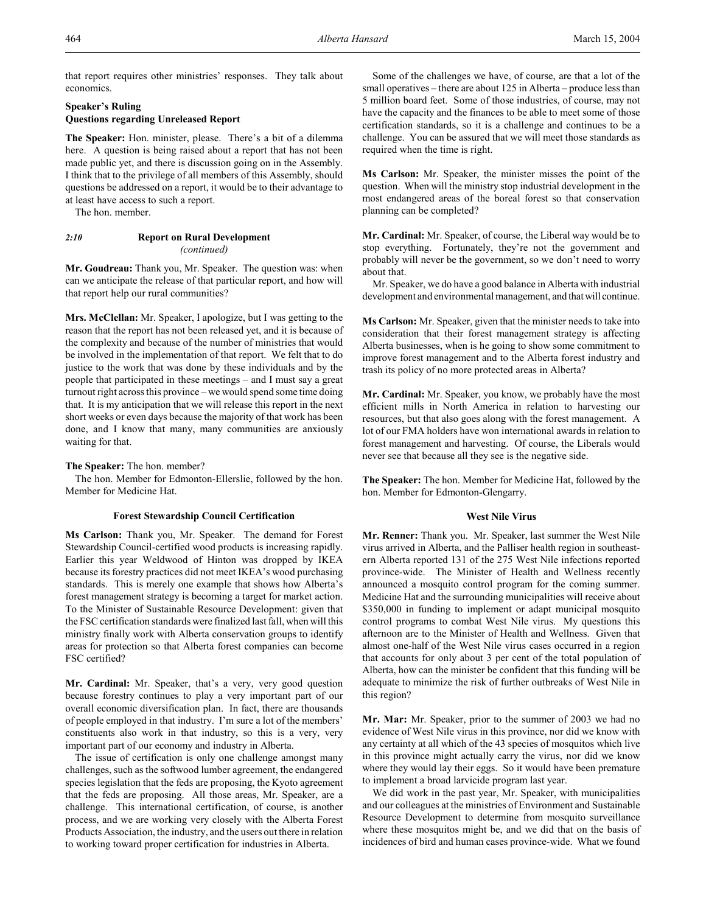that report requires other ministries' responses. They talk about economics.

# **Speaker's Ruling**

# **Questions regarding Unreleased Report**

**The Speaker:** Hon. minister, please. There's a bit of a dilemma here. A question is being raised about a report that has not been made public yet, and there is discussion going on in the Assembly. I think that to the privilege of all members of this Assembly, should questions be addressed on a report, it would be to their advantage to at least have access to such a report.

The hon. member.

# *2:10* **Report on Rural Development** *(continued)*

**Mr. Goudreau:** Thank you, Mr. Speaker. The question was: when can we anticipate the release of that particular report, and how will that report help our rural communities?

**Mrs. McClellan:** Mr. Speaker, I apologize, but I was getting to the reason that the report has not been released yet, and it is because of the complexity and because of the number of ministries that would be involved in the implementation of that report. We felt that to do justice to the work that was done by these individuals and by the people that participated in these meetings – and I must say a great turnout right across this province – we would spend some time doing that. It is my anticipation that we will release this report in the next short weeks or even days because the majority of that work has been done, and I know that many, many communities are anxiously waiting for that.

### **The Speaker:** The hon. member?

The hon. Member for Edmonton-Ellerslie, followed by the hon. Member for Medicine Hat.

# **Forest Stewardship Council Certification**

**Ms Carlson:** Thank you, Mr. Speaker. The demand for Forest Stewardship Council-certified wood products is increasing rapidly. Earlier this year Weldwood of Hinton was dropped by IKEA because its forestry practices did not meet IKEA's wood purchasing standards. This is merely one example that shows how Alberta's forest management strategy is becoming a target for market action. To the Minister of Sustainable Resource Development: given that the FSC certification standards were finalized last fall, when will this ministry finally work with Alberta conservation groups to identify areas for protection so that Alberta forest companies can become FSC certified?

**Mr. Cardinal:** Mr. Speaker, that's a very, very good question because forestry continues to play a very important part of our overall economic diversification plan. In fact, there are thousands of people employed in that industry. I'm sure a lot of the members' constituents also work in that industry, so this is a very, very important part of our economy and industry in Alberta.

The issue of certification is only one challenge amongst many challenges, such as the softwood lumber agreement, the endangered species legislation that the feds are proposing, the Kyoto agreement that the feds are proposing. All those areas, Mr. Speaker, are a challenge. This international certification, of course, is another process, and we are working very closely with the Alberta Forest Products Association, the industry, and the users out there in relation to working toward proper certification for industries in Alberta.

Some of the challenges we have, of course, are that a lot of the small operatives – there are about 125 in Alberta – produce less than 5 million board feet. Some of those industries, of course, may not have the capacity and the finances to be able to meet some of those certification standards, so it is a challenge and continues to be a challenge. You can be assured that we will meet those standards as required when the time is right.

**Ms Carlson:** Mr. Speaker, the minister misses the point of the question. When will the ministry stop industrial development in the most endangered areas of the boreal forest so that conservation planning can be completed?

**Mr. Cardinal:** Mr. Speaker, of course, the Liberal way would be to stop everything. Fortunately, they're not the government and probably will never be the government, so we don't need to worry about that.

Mr. Speaker, we do have a good balance in Alberta with industrial development and environmental management, and that will continue.

**Ms Carlson:** Mr. Speaker, given that the minister needs to take into consideration that their forest management strategy is affecting Alberta businesses, when is he going to show some commitment to improve forest management and to the Alberta forest industry and trash its policy of no more protected areas in Alberta?

**Mr. Cardinal:** Mr. Speaker, you know, we probably have the most efficient mills in North America in relation to harvesting our resources, but that also goes along with the forest management. A lot of our FMA holders have won international awards in relation to forest management and harvesting. Of course, the Liberals would never see that because all they see is the negative side.

**The Speaker:** The hon. Member for Medicine Hat, followed by the hon. Member for Edmonton-Glengarry.

### **West Nile Virus**

**Mr. Renner:** Thank you. Mr. Speaker, last summer the West Nile virus arrived in Alberta, and the Palliser health region in southeastern Alberta reported 131 of the 275 West Nile infections reported province-wide. The Minister of Health and Wellness recently announced a mosquito control program for the coming summer. Medicine Hat and the surrounding municipalities will receive about \$350,000 in funding to implement or adapt municipal mosquito control programs to combat West Nile virus. My questions this afternoon are to the Minister of Health and Wellness. Given that almost one-half of the West Nile virus cases occurred in a region that accounts for only about 3 per cent of the total population of Alberta, how can the minister be confident that this funding will be adequate to minimize the risk of further outbreaks of West Nile in this region?

**Mr. Mar:** Mr. Speaker, prior to the summer of 2003 we had no evidence of West Nile virus in this province, nor did we know with any certainty at all which of the 43 species of mosquitos which live in this province might actually carry the virus, nor did we know where they would lay their eggs. So it would have been premature to implement a broad larvicide program last year.

We did work in the past year, Mr. Speaker, with municipalities and our colleagues at the ministries of Environment and Sustainable Resource Development to determine from mosquito surveillance where these mosquitos might be, and we did that on the basis of incidences of bird and human cases province-wide. What we found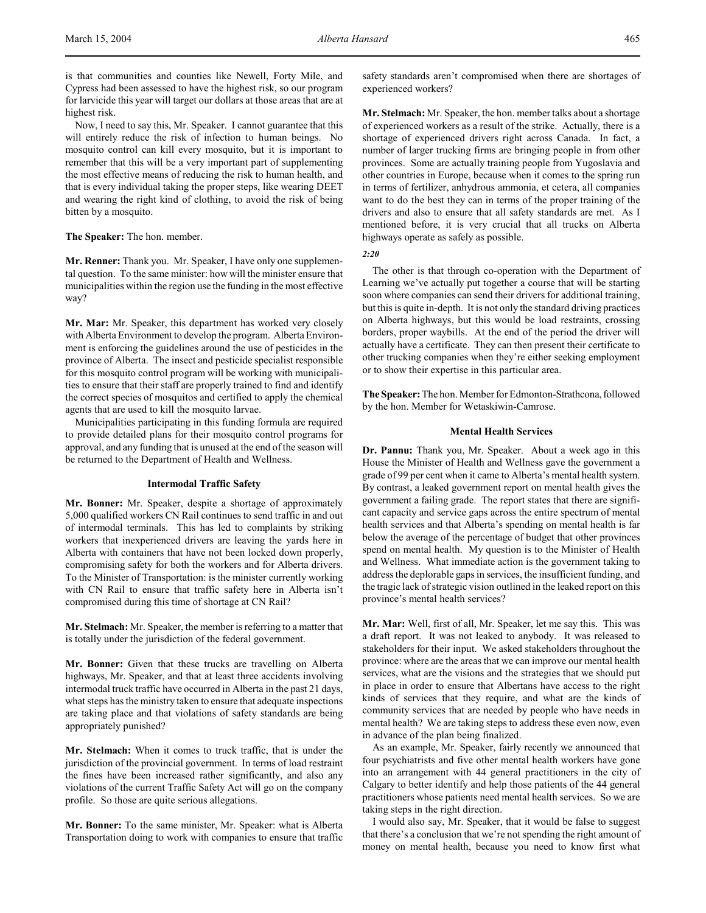Now, I need to say this, Mr. Speaker. I cannot guarantee that this will entirely reduce the risk of infection to human beings. No mosquito control can kill every mosquito, but it is important to remember that this will be a very important part of supplementing the most effective means of reducing the risk to human health, and that is every individual taking the proper steps, like wearing DEET and wearing the right kind of clothing, to avoid the risk of being bitten by a mosquito.

**The Speaker:** The hon. member.

**Mr. Renner:** Thank you. Mr. Speaker, I have only one supplemental question. To the same minister: how will the minister ensure that municipalities within the region use the funding in the most effective way?

**Mr. Mar:** Mr. Speaker, this department has worked very closely with Alberta Environment to develop the program. Alberta Environment is enforcing the guidelines around the use of pesticides in the province of Alberta. The insect and pesticide specialist responsible for this mosquito control program will be working with municipalities to ensure that their staff are properly trained to find and identify the correct species of mosquitos and certified to apply the chemical agents that are used to kill the mosquito larvae.

Municipalities participating in this funding formula are required to provide detailed plans for their mosquito control programs for approval, and any funding that is unused at the end of the season will be returned to the Department of Health and Wellness.

#### **Intermodal Traffic Safety**

**Mr. Bonner:** Mr. Speaker, despite a shortage of approximately 5,000 qualified workers CN Rail continues to send traffic in and out of intermodal terminals. This has led to complaints by striking workers that inexperienced drivers are leaving the yards here in Alberta with containers that have not been locked down properly, compromising safety for both the workers and for Alberta drivers. To the Minister of Transportation: is the minister currently working with CN Rail to ensure that traffic safety here in Alberta isn't compromised during this time of shortage at CN Rail?

**Mr. Stelmach:** Mr. Speaker, the member is referring to a matter that is totally under the jurisdiction of the federal government.

**Mr. Bonner:** Given that these trucks are travelling on Alberta highways, Mr. Speaker, and that at least three accidents involving intermodal truck traffic have occurred in Alberta in the past 21 days, what steps has the ministry taken to ensure that adequate inspections are taking place and that violations of safety standards are being appropriately punished?

**Mr. Stelmach:** When it comes to truck traffic, that is under the jurisdiction of the provincial government. In terms of load restraint the fines have been increased rather significantly, and also any violations of the current Traffic Safety Act will go on the company profile. So those are quite serious allegations.

**Mr. Bonner:** To the same minister, Mr. Speaker: what is Alberta Transportation doing to work with companies to ensure that traffic

safety standards aren't compromised when there are shortages of experienced workers?

**Mr. Stelmach:** Mr. Speaker, the hon. member talks about a shortage of experienced workers as a result of the strike. Actually, there is a shortage of experienced drivers right across Canada. In fact, a number of larger trucking firms are bringing people in from other provinces. Some are actually training people from Yugoslavia and other countries in Europe, because when it comes to the spring run in terms of fertilizer, anhydrous ammonia, et cetera, all companies want to do the best they can in terms of the proper training of the drivers and also to ensure that all safety standards are met. As I mentioned before, it is very crucial that all trucks on Alberta highways operate as safely as possible.

*2:20*

The other is that through co-operation with the Department of Learning we've actually put together a course that will be starting soon where companies can send their drivers for additional training, but this is quite in-depth. It is not only the standard driving practices on Alberta highways, but this would be load restraints, crossing borders, proper waybills. At the end of the period the driver will actually have a certificate. They can then present their certificate to other trucking companies when they're either seeking employment or to show their expertise in this particular area.

**The Speaker:** The hon. Member for Edmonton-Strathcona, followed by the hon. Member for Wetaskiwin-Camrose.

### **Mental Health Services**

**Dr. Pannu:** Thank you, Mr. Speaker. About a week ago in this House the Minister of Health and Wellness gave the government a grade of 99 per cent when it came to Alberta's mental health system. By contrast, a leaked government report on mental health gives the government a failing grade. The report states that there are significant capacity and service gaps across the entire spectrum of mental health services and that Alberta's spending on mental health is far below the average of the percentage of budget that other provinces spend on mental health. My question is to the Minister of Health and Wellness. What immediate action is the government taking to address the deplorable gaps in services, the insufficient funding, and the tragic lack of strategic vision outlined in the leaked report on this province's mental health services?

**Mr. Mar:** Well, first of all, Mr. Speaker, let me say this. This was a draft report. It was not leaked to anybody. It was released to stakeholders for their input. We asked stakeholders throughout the province: where are the areas that we can improve our mental health services, what are the visions and the strategies that we should put in place in order to ensure that Albertans have access to the right kinds of services that they require, and what are the kinds of community services that are needed by people who have needs in mental health? We are taking steps to address these even now, even in advance of the plan being finalized.

As an example, Mr. Speaker, fairly recently we announced that four psychiatrists and five other mental health workers have gone into an arrangement with 44 general practitioners in the city of Calgary to better identify and help those patients of the 44 general practitioners whose patients need mental health services. So we are taking steps in the right direction.

I would also say, Mr. Speaker, that it would be false to suggest that there's a conclusion that we're not spending the right amount of money on mental health, because you need to know first what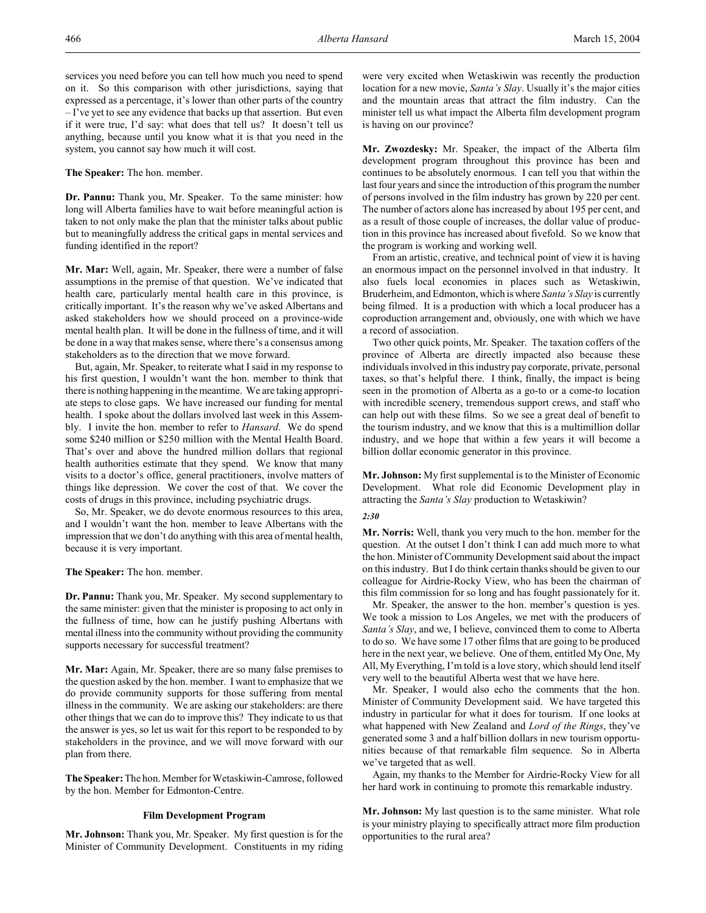services you need before you can tell how much you need to spend on it. So this comparison with other jurisdictions, saying that expressed as a percentage, it's lower than other parts of the country – I've yet to see any evidence that backs up that assertion. But even if it were true, I'd say: what does that tell us? It doesn't tell us anything, because until you know what it is that you need in the system, you cannot say how much it will cost.

**The Speaker:** The hon. member.

**Dr. Pannu:** Thank you, Mr. Speaker. To the same minister: how long will Alberta families have to wait before meaningful action is taken to not only make the plan that the minister talks about public but to meaningfully address the critical gaps in mental services and funding identified in the report?

**Mr. Mar:** Well, again, Mr. Speaker, there were a number of false assumptions in the premise of that question. We've indicated that health care, particularly mental health care in this province, is critically important. It's the reason why we've asked Albertans and asked stakeholders how we should proceed on a province-wide mental health plan. It will be done in the fullness of time, and it will be done in a way that makes sense, where there's a consensus among stakeholders as to the direction that we move forward.

But, again, Mr. Speaker, to reiterate what I said in my response to his first question, I wouldn't want the hon. member to think that there is nothing happening in the meantime. We are taking appropriate steps to close gaps. We have increased our funding for mental health. I spoke about the dollars involved last week in this Assembly. I invite the hon. member to refer to *Hansard*. We do spend some \$240 million or \$250 million with the Mental Health Board. That's over and above the hundred million dollars that regional health authorities estimate that they spend. We know that many visits to a doctor's office, general practitioners, involve matters of things like depression. We cover the cost of that. We cover the costs of drugs in this province, including psychiatric drugs.

So, Mr. Speaker, we do devote enormous resources to this area, and I wouldn't want the hon. member to leave Albertans with the impression that we don't do anything with this area of mental health, because it is very important.

**The Speaker:** The hon. member.

**Dr. Pannu:** Thank you, Mr. Speaker. My second supplementary to the same minister: given that the minister is proposing to act only in the fullness of time, how can he justify pushing Albertans with mental illness into the community without providing the community supports necessary for successful treatment?

**Mr. Mar:** Again, Mr. Speaker, there are so many false premises to the question asked by the hon. member. I want to emphasize that we do provide community supports for those suffering from mental illness in the community. We are asking our stakeholders: are there other things that we can do to improve this? They indicate to us that the answer is yes, so let us wait for this report to be responded to by stakeholders in the province, and we will move forward with our plan from there.

**The Speaker:** The hon. Member for Wetaskiwin-Camrose, followed by the hon. Member for Edmonton-Centre.

# **Film Development Program**

**Mr. Johnson:** Thank you, Mr. Speaker. My first question is for the Minister of Community Development. Constituents in my riding

were very excited when Wetaskiwin was recently the production location for a new movie, *Santa's Slay*. Usually it's the major cities and the mountain areas that attract the film industry. Can the minister tell us what impact the Alberta film development program is having on our province?

**Mr. Zwozdesky:** Mr. Speaker, the impact of the Alberta film development program throughout this province has been and continues to be absolutely enormous. I can tell you that within the last four years and since the introduction of this program the number of persons involved in the film industry has grown by 220 per cent. The number of actors alone has increased by about 195 per cent, and as a result of those couple of increases, the dollar value of production in this province has increased about fivefold. So we know that the program is working and working well.

From an artistic, creative, and technical point of view it is having an enormous impact on the personnel involved in that industry. It also fuels local economies in places such as Wetaskiwin, Bruderheim, and Edmonton, which is where *Santa's Slay* is currently being filmed. It is a production with which a local producer has a coproduction arrangement and, obviously, one with which we have a record of association.

Two other quick points, Mr. Speaker. The taxation coffers of the province of Alberta are directly impacted also because these individuals involved in this industry pay corporate, private, personal taxes, so that's helpful there. I think, finally, the impact is being seen in the promotion of Alberta as a go-to or a come-to location with incredible scenery, tremendous support crews, and staff who can help out with these films. So we see a great deal of benefit to the tourism industry, and we know that this is a multimillion dollar industry, and we hope that within a few years it will become a billion dollar economic generator in this province.

**Mr. Johnson:** My first supplemental is to the Minister of Economic Development. What role did Economic Development play in attracting the *Santa's Slay* production to Wetaskiwin?

### *2:30*

**Mr. Norris:** Well, thank you very much to the hon. member for the question. At the outset I don't think I can add much more to what the hon. Minister of Community Development said about the impact on this industry. But I do think certain thanks should be given to our colleague for Airdrie-Rocky View, who has been the chairman of this film commission for so long and has fought passionately for it.

Mr. Speaker, the answer to the hon. member's question is yes. We took a mission to Los Angeles, we met with the producers of *Santa's Slay*, and we, I believe, convinced them to come to Alberta to do so. We have some 17 other films that are going to be produced here in the next year, we believe. One of them, entitled My One, My All, My Everything, I'm told is a love story, which should lend itself very well to the beautiful Alberta west that we have here.

Mr. Speaker, I would also echo the comments that the hon. Minister of Community Development said. We have targeted this industry in particular for what it does for tourism. If one looks at what happened with New Zealand and *Lord of the Rings*, they've generated some 3 and a half billion dollars in new tourism opportunities because of that remarkable film sequence. So in Alberta we've targeted that as well.

Again, my thanks to the Member for Airdrie-Rocky View for all her hard work in continuing to promote this remarkable industry.

**Mr. Johnson:** My last question is to the same minister. What role is your ministry playing to specifically attract more film production opportunities to the rural area?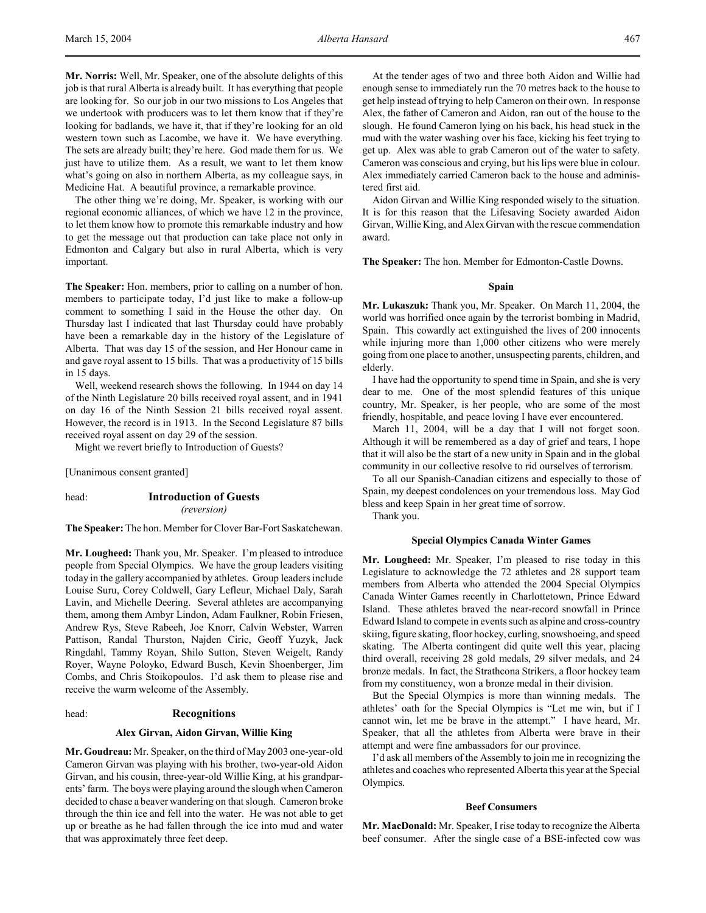**Mr. Norris:** Well, Mr. Speaker, one of the absolute delights of this job is that rural Alberta is already built. It has everything that people are looking for. So our job in our two missions to Los Angeles that we undertook with producers was to let them know that if they're looking for badlands, we have it, that if they're looking for an old western town such as Lacombe, we have it. We have everything. The sets are already built; they're here. God made them for us. We just have to utilize them. As a result, we want to let them know what's going on also in northern Alberta, as my colleague says, in Medicine Hat. A beautiful province, a remarkable province.

The other thing we're doing, Mr. Speaker, is working with our regional economic alliances, of which we have 12 in the province, to let them know how to promote this remarkable industry and how to get the message out that production can take place not only in Edmonton and Calgary but also in rural Alberta, which is very important.

**The Speaker:** Hon. members, prior to calling on a number of hon. members to participate today, I'd just like to make a follow-up comment to something I said in the House the other day. On Thursday last I indicated that last Thursday could have probably have been a remarkable day in the history of the Legislature of Alberta. That was day 15 of the session, and Her Honour came in and gave royal assent to 15 bills. That was a productivity of 15 bills in 15 days.

Well, weekend research shows the following. In 1944 on day 14 of the Ninth Legislature 20 bills received royal assent, and in 1941 on day 16 of the Ninth Session 21 bills received royal assent. However, the record is in 1913. In the Second Legislature 87 bills received royal assent on day 29 of the session.

Might we revert briefly to Introduction of Guests?

[Unanimous consent granted]

# head: **Introduction of Guests**

*(reversion)*

**The Speaker:** The hon. Member for Clover Bar-Fort Saskatchewan.

**Mr. Lougheed:** Thank you, Mr. Speaker. I'm pleased to introduce people from Special Olympics. We have the group leaders visiting today in the gallery accompanied by athletes. Group leaders include Louise Suru, Corey Coldwell, Gary Lefleur, Michael Daly, Sarah Lavin, and Michelle Deering. Several athletes are accompanying them, among them Ambyr Lindon, Adam Faulkner, Robin Friesen, Andrew Rys, Steve Rabeeh, Joe Knorr, Calvin Webster, Warren Pattison, Randal Thurston, Najden Ciric, Geoff Yuzyk, Jack Ringdahl, Tammy Royan, Shilo Sutton, Steven Weigelt, Randy Royer, Wayne Poloyko, Edward Busch, Kevin Shoenberger, Jim Combs, and Chris Stoikopoulos. I'd ask them to please rise and receive the warm welcome of the Assembly.

#### head: **Recognitions**

#### **Alex Girvan, Aidon Girvan, Willie King**

**Mr. Goudreau:** Mr. Speaker, on the third of May 2003 one-year-old Cameron Girvan was playing with his brother, two-year-old Aidon Girvan, and his cousin, three-year-old Willie King, at his grandparents' farm. The boys were playing around the slough when Cameron decided to chase a beaver wandering on that slough. Cameron broke through the thin ice and fell into the water. He was not able to get up or breathe as he had fallen through the ice into mud and water that was approximately three feet deep.

At the tender ages of two and three both Aidon and Willie had enough sense to immediately run the 70 metres back to the house to get help instead of trying to help Cameron on their own. In response Alex, the father of Cameron and Aidon, ran out of the house to the slough. He found Cameron lying on his back, his head stuck in the mud with the water washing over his face, kicking his feet trying to get up. Alex was able to grab Cameron out of the water to safety. Cameron was conscious and crying, but his lips were blue in colour. Alex immediately carried Cameron back to the house and administered first aid.

Aidon Girvan and Willie King responded wisely to the situation. It is for this reason that the Lifesaving Society awarded Aidon Girvan, Willie King, and Alex Girvan with the rescue commendation award.

**The Speaker:** The hon. Member for Edmonton-Castle Downs.

# **Spain**

**Mr. Lukaszuk:** Thank you, Mr. Speaker. On March 11, 2004, the world was horrified once again by the terrorist bombing in Madrid, Spain. This cowardly act extinguished the lives of 200 innocents while injuring more than 1,000 other citizens who were merely going from one place to another, unsuspecting parents, children, and elderly.

I have had the opportunity to spend time in Spain, and she is very dear to me. One of the most splendid features of this unique country, Mr. Speaker, is her people, who are some of the most friendly, hospitable, and peace loving I have ever encountered.

March 11, 2004, will be a day that I will not forget soon. Although it will be remembered as a day of grief and tears, I hope that it will also be the start of a new unity in Spain and in the global community in our collective resolve to rid ourselves of terrorism.

To all our Spanish-Canadian citizens and especially to those of Spain, my deepest condolences on your tremendous loss. May God bless and keep Spain in her great time of sorrow.

Thank you.

#### **Special Olympics Canada Winter Games**

**Mr. Lougheed:** Mr. Speaker, I'm pleased to rise today in this Legislature to acknowledge the 72 athletes and 28 support team members from Alberta who attended the 2004 Special Olympics Canada Winter Games recently in Charlottetown, Prince Edward Island. These athletes braved the near-record snowfall in Prince Edward Island to compete in events such as alpine and cross-country skiing, figure skating, floor hockey, curling, snowshoeing, and speed skating. The Alberta contingent did quite well this year, placing third overall, receiving 28 gold medals, 29 silver medals, and 24 bronze medals. In fact, the Strathcona Strikers, a floor hockey team from my constituency, won a bronze medal in their division.

But the Special Olympics is more than winning medals. The athletes' oath for the Special Olympics is "Let me win, but if I cannot win, let me be brave in the attempt." I have heard, Mr. Speaker, that all the athletes from Alberta were brave in their attempt and were fine ambassadors for our province.

I'd ask all members of the Assembly to join me in recognizing the athletes and coaches who represented Alberta this year at the Special Olympics.

#### **Beef Consumers**

**Mr. MacDonald:** Mr. Speaker, I rise today to recognize the Alberta beef consumer. After the single case of a BSE-infected cow was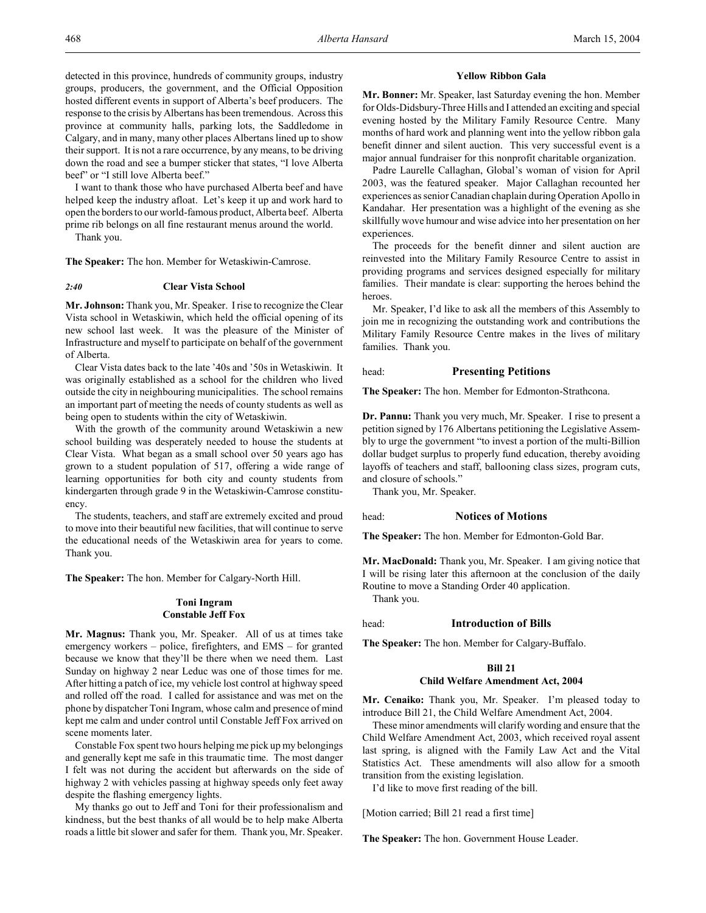detected in this province, hundreds of community groups, industry groups, producers, the government, and the Official Opposition hosted different events in support of Alberta's beef producers. The response to the crisis by Albertans has been tremendous. Across this province at community halls, parking lots, the Saddledome in Calgary, and in many, many other places Albertans lined up to show their support. It is not a rare occurrence, by any means, to be driving down the road and see a bumper sticker that states, "I love Alberta beef" or "I still love Alberta beef."

I want to thank those who have purchased Alberta beef and have helped keep the industry afloat. Let's keep it up and work hard to open the borders to our world-famous product, Alberta beef. Alberta prime rib belongs on all fine restaurant menus around the world.

Thank you.

**The Speaker:** The hon. Member for Wetaskiwin-Camrose.

#### *2:40* **Clear Vista School**

**Mr. Johnson:** Thank you, Mr. Speaker. I rise to recognize the Clear Vista school in Wetaskiwin, which held the official opening of its new school last week. It was the pleasure of the Minister of Infrastructure and myself to participate on behalf of the government of Alberta.

Clear Vista dates back to the late '40s and '50s in Wetaskiwin. It was originally established as a school for the children who lived outside the city in neighbouring municipalities. The school remains an important part of meeting the needs of county students as well as being open to students within the city of Wetaskiwin.

With the growth of the community around Wetaskiwin a new school building was desperately needed to house the students at Clear Vista. What began as a small school over 50 years ago has grown to a student population of 517, offering a wide range of learning opportunities for both city and county students from kindergarten through grade 9 in the Wetaskiwin-Camrose constituency.

The students, teachers, and staff are extremely excited and proud to move into their beautiful new facilities, that will continue to serve the educational needs of the Wetaskiwin area for years to come. Thank you.

**The Speaker:** The hon. Member for Calgary-North Hill.

# **Toni Ingram Constable Jeff Fox**

**Mr. Magnus:** Thank you, Mr. Speaker. All of us at times take emergency workers – police, firefighters, and EMS – for granted because we know that they'll be there when we need them. Last Sunday on highway 2 near Leduc was one of those times for me. After hitting a patch of ice, my vehicle lost control at highway speed and rolled off the road. I called for assistance and was met on the phone by dispatcher Toni Ingram, whose calm and presence of mind kept me calm and under control until Constable Jeff Fox arrived on scene moments later.

Constable Fox spent two hours helping me pick up my belongings and generally kept me safe in this traumatic time. The most danger I felt was not during the accident but afterwards on the side of highway 2 with vehicles passing at highway speeds only feet away despite the flashing emergency lights.

My thanks go out to Jeff and Toni for their professionalism and kindness, but the best thanks of all would be to help make Alberta roads a little bit slower and safer for them. Thank you, Mr. Speaker.

# **Yellow Ribbon Gala**

**Mr. Bonner:** Mr. Speaker, last Saturday evening the hon. Member for Olds-Didsbury-Three Hills and I attended an exciting and special evening hosted by the Military Family Resource Centre. Many months of hard work and planning went into the yellow ribbon gala benefit dinner and silent auction. This very successful event is a major annual fundraiser for this nonprofit charitable organization.

Padre Laurelle Callaghan, Global's woman of vision for April 2003, was the featured speaker. Major Callaghan recounted her experiences as senior Canadian chaplain during Operation Apollo in Kandahar. Her presentation was a highlight of the evening as she skillfully wove humour and wise advice into her presentation on her experiences.

The proceeds for the benefit dinner and silent auction are reinvested into the Military Family Resource Centre to assist in providing programs and services designed especially for military families. Their mandate is clear: supporting the heroes behind the heroes.

Mr. Speaker, I'd like to ask all the members of this Assembly to join me in recognizing the outstanding work and contributions the Military Family Resource Centre makes in the lives of military families. Thank you.

#### head: **Presenting Petitions**

**The Speaker:** The hon. Member for Edmonton-Strathcona.

**Dr. Pannu:** Thank you very much, Mr. Speaker. I rise to present a petition signed by 176 Albertans petitioning the Legislative Assembly to urge the government "to invest a portion of the multi-Billion dollar budget surplus to properly fund education, thereby avoiding layoffs of teachers and staff, ballooning class sizes, program cuts, and closure of schools."

Thank you, Mr. Speaker.

#### head: **Notices of Motions**

**The Speaker:** The hon. Member for Edmonton-Gold Bar.

**Mr. MacDonald:** Thank you, Mr. Speaker. I am giving notice that I will be rising later this afternoon at the conclusion of the daily Routine to move a Standing Order 40 application. Thank you.

# head: **Introduction of Bills**

**The Speaker:** The hon. Member for Calgary-Buffalo.

#### **Bill 21**

#### **Child Welfare Amendment Act, 2004**

**Mr. Cenaiko:** Thank you, Mr. Speaker. I'm pleased today to introduce Bill 21, the Child Welfare Amendment Act, 2004.

These minor amendments will clarify wording and ensure that the Child Welfare Amendment Act, 2003, which received royal assent last spring, is aligned with the Family Law Act and the Vital Statistics Act. These amendments will also allow for a smooth transition from the existing legislation.

I'd like to move first reading of the bill.

[Motion carried; Bill 21 read a first time]

**The Speaker:** The hon. Government House Leader.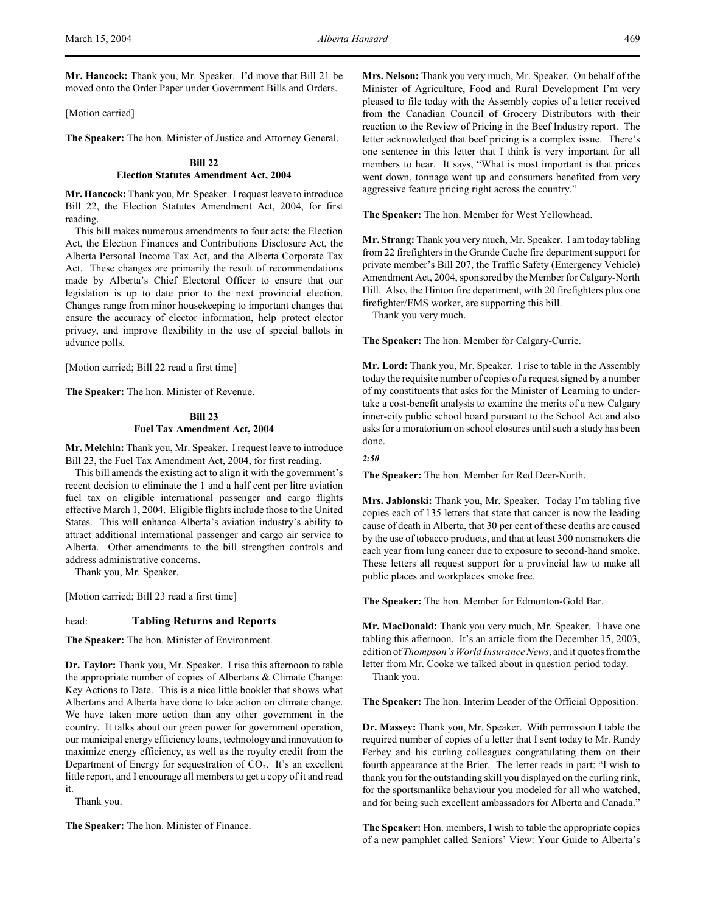**Mr. Hancock:** Thank you, Mr. Speaker. I'd move that Bill 21 be moved onto the Order Paper under Government Bills and Orders.

[Motion carried]

**The Speaker:** The hon. Minister of Justice and Attorney General.

#### **Bill 22**

#### **Election Statutes Amendment Act, 2004**

**Mr. Hancock:** Thank you, Mr. Speaker. I request leave to introduce Bill 22, the Election Statutes Amendment Act, 2004, for first reading.

This bill makes numerous amendments to four acts: the Election Act, the Election Finances and Contributions Disclosure Act, the Alberta Personal Income Tax Act, and the Alberta Corporate Tax Act. These changes are primarily the result of recommendations made by Alberta's Chief Electoral Officer to ensure that our legislation is up to date prior to the next provincial election. Changes range from minor housekeeping to important changes that ensure the accuracy of elector information, help protect elector privacy, and improve flexibility in the use of special ballots in advance polls.

[Motion carried; Bill 22 read a first time]

**The Speaker:** The hon. Minister of Revenue.

# **Bill 23 Fuel Tax Amendment Act, 2004**

**Mr. Melchin:** Thank you, Mr. Speaker. I request leave to introduce Bill 23, the Fuel Tax Amendment Act, 2004, for first reading.

This bill amends the existing act to align it with the government's recent decision to eliminate the 1 and a half cent per litre aviation fuel tax on eligible international passenger and cargo flights effective March 1, 2004. Eligible flights include those to the United States. This will enhance Alberta's aviation industry's ability to attract additional international passenger and cargo air service to Alberta. Other amendments to the bill strengthen controls and address administrative concerns.

Thank you, Mr. Speaker.

[Motion carried; Bill 23 read a first time]

# head: **Tabling Returns and Reports**

**The Speaker:** The hon. Minister of Environment.

**Dr. Taylor:** Thank you, Mr. Speaker. I rise this afternoon to table the appropriate number of copies of Albertans & Climate Change: Key Actions to Date. This is a nice little booklet that shows what Albertans and Alberta have done to take action on climate change. We have taken more action than any other government in the country. It talks about our green power for government operation, our municipal energy efficiency loans, technology and innovation to maximize energy efficiency, as well as the royalty credit from the Department of Energy for sequestration of  $CO<sub>2</sub>$ . It's an excellent little report, and I encourage all members to get a copy of it and read it.

Thank you.

**The Speaker:** The hon. Minister of Finance.

**Mrs. Nelson:** Thank you very much, Mr. Speaker. On behalf of the Minister of Agriculture, Food and Rural Development I'm very pleased to file today with the Assembly copies of a letter received from the Canadian Council of Grocery Distributors with their reaction to the Review of Pricing in the Beef Industry report. The letter acknowledged that beef pricing is a complex issue. There's one sentence in this letter that I think is very important for all members to hear. It says, "What is most important is that prices went down, tonnage went up and consumers benefited from very aggressive feature pricing right across the country."

**The Speaker:** The hon. Member for West Yellowhead.

**Mr. Strang:** Thank you very much, Mr. Speaker. I am today tabling from 22 firefighters in the Grande Cache fire department support for private member's Bill 207, the Traffic Safety (Emergency Vehicle) Amendment Act, 2004, sponsored by the Member for Calgary-North Hill. Also, the Hinton fire department, with 20 firefighters plus one firefighter/EMS worker, are supporting this bill.

Thank you very much.

**The Speaker:** The hon. Member for Calgary-Currie.

**Mr. Lord:** Thank you, Mr. Speaker. I rise to table in the Assembly today the requisite number of copies of a request signed by a number of my constituents that asks for the Minister of Learning to undertake a cost-benefit analysis to examine the merits of a new Calgary inner-city public school board pursuant to the School Act and also asks for a moratorium on school closures until such a study has been done.

*2:50*

**The Speaker:** The hon. Member for Red Deer-North.

**Mrs. Jablonski:** Thank you, Mr. Speaker. Today I'm tabling five copies each of 135 letters that state that cancer is now the leading cause of death in Alberta, that 30 per cent of these deaths are caused by the use of tobacco products, and that at least 300 nonsmokers die each year from lung cancer due to exposure to second-hand smoke. These letters all request support for a provincial law to make all public places and workplaces smoke free.

**The Speaker:** The hon. Member for Edmonton-Gold Bar.

**Mr. MacDonald:** Thank you very much, Mr. Speaker. I have one tabling this afternoon. It's an article from the December 15, 2003, edition of *Thompson's World Insurance News*, and it quotes from the letter from Mr. Cooke we talked about in question period today. Thank you.

**The Speaker:** The hon. Interim Leader of the Official Opposition.

**Dr. Massey:** Thank you, Mr. Speaker. With permission I table the required number of copies of a letter that I sent today to Mr. Randy Ferbey and his curling colleagues congratulating them on their fourth appearance at the Brier. The letter reads in part: "I wish to thank you for the outstanding skill you displayed on the curling rink, for the sportsmanlike behaviour you modeled for all who watched, and for being such excellent ambassadors for Alberta and Canada."

**The Speaker:** Hon. members, I wish to table the appropriate copies of a new pamphlet called Seniors' View: Your Guide to Alberta's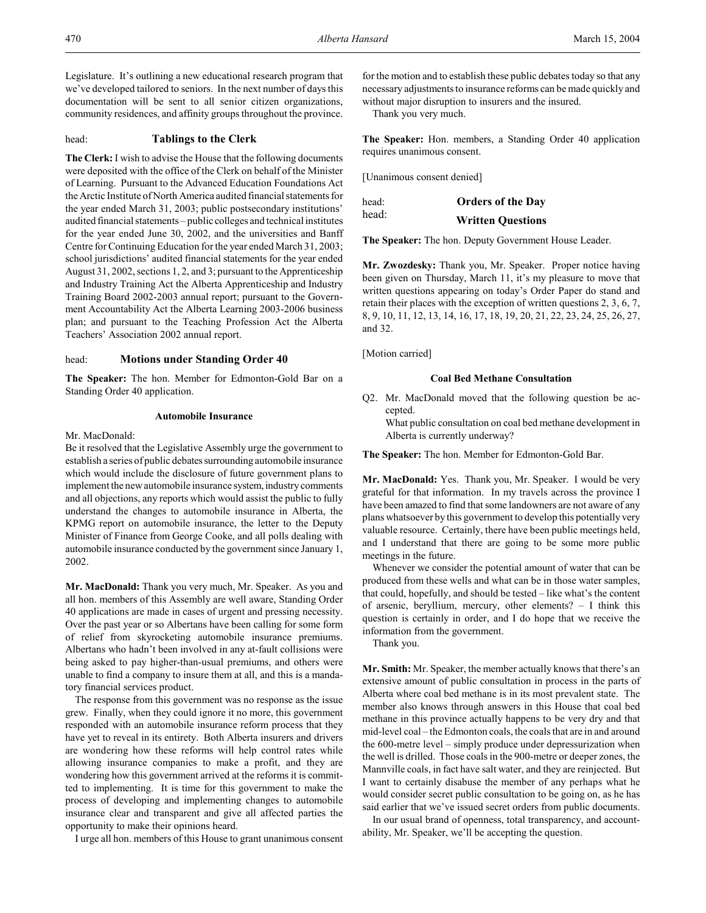Legislature. It's outlining a new educational research program that we've developed tailored to seniors. In the next number of days this documentation will be sent to all senior citizen organizations, community residences, and affinity groups throughout the province.

# head: **Tablings to the Clerk**

**The Clerk:** I wish to advise the House that the following documents were deposited with the office of the Clerk on behalf of the Minister of Learning. Pursuant to the Advanced Education Foundations Act the Arctic Institute of North America audited financial statements for the year ended March 31, 2003; public postsecondary institutions' audited financial statements – public colleges and technical institutes for the year ended June 30, 2002, and the universities and Banff Centre for Continuing Education for the year ended March 31, 2003; school jurisdictions' audited financial statements for the year ended August 31, 2002, sections 1, 2, and 3; pursuant to the Apprenticeship and Industry Training Act the Alberta Apprenticeship and Industry Training Board 2002-2003 annual report; pursuant to the Government Accountability Act the Alberta Learning 2003-2006 business plan; and pursuant to the Teaching Profession Act the Alberta Teachers' Association 2002 annual report.

# head: **Motions under Standing Order 40**

**The Speaker:** The hon. Member for Edmonton-Gold Bar on a Standing Order 40 application.

# **Automobile Insurance**

Mr. MacDonald:

Be it resolved that the Legislative Assembly urge the government to establish a series of public debates surrounding automobile insurance which would include the disclosure of future government plans to implement the new automobile insurance system, industry comments and all objections, any reports which would assist the public to fully understand the changes to automobile insurance in Alberta, the KPMG report on automobile insurance, the letter to the Deputy Minister of Finance from George Cooke, and all polls dealing with automobile insurance conducted by the government since January 1, 2002.

**Mr. MacDonald:** Thank you very much, Mr. Speaker. As you and all hon. members of this Assembly are well aware, Standing Order 40 applications are made in cases of urgent and pressing necessity. Over the past year or so Albertans have been calling for some form of relief from skyrocketing automobile insurance premiums. Albertans who hadn't been involved in any at-fault collisions were being asked to pay higher-than-usual premiums, and others were unable to find a company to insure them at all, and this is a mandatory financial services product.

The response from this government was no response as the issue grew. Finally, when they could ignore it no more, this government responded with an automobile insurance reform process that they have yet to reveal in its entirety. Both Alberta insurers and drivers are wondering how these reforms will help control rates while allowing insurance companies to make a profit, and they are wondering how this government arrived at the reforms it is committed to implementing. It is time for this government to make the process of developing and implementing changes to automobile insurance clear and transparent and give all affected parties the opportunity to make their opinions heard.

I urge all hon. members of this House to grant unanimous consent

for the motion and to establish these public debates today so that any necessary adjustments to insurance reforms can be made quickly and without major disruption to insurers and the insured.

Thank you very much.

**The Speaker:** Hon. members, a Standing Order 40 application requires unanimous consent.

[Unanimous consent denied]

head: **Orders of the Day** head: **Written Questions**

**The Speaker:** The hon. Deputy Government House Leader.

**Mr. Zwozdesky:** Thank you, Mr. Speaker. Proper notice having been given on Thursday, March 11, it's my pleasure to move that written questions appearing on today's Order Paper do stand and retain their places with the exception of written questions 2, 3, 6, 7, 8, 9, 10, 11, 12, 13, 14, 16, 17, 18, 19, 20, 21, 22, 23, 24, 25, 26, 27, and 32.

[Motion carried]

# **Coal Bed Methane Consultation**

Q2. Mr. MacDonald moved that the following question be accepted.

What public consultation on coal bed methane development in Alberta is currently underway?

**The Speaker:** The hon. Member for Edmonton-Gold Bar.

**Mr. MacDonald:** Yes. Thank you, Mr. Speaker. I would be very grateful for that information. In my travels across the province I have been amazed to find that some landowners are not aware of any plans whatsoever by this government to develop this potentially very valuable resource. Certainly, there have been public meetings held, and I understand that there are going to be some more public meetings in the future.

Whenever we consider the potential amount of water that can be produced from these wells and what can be in those water samples, that could, hopefully, and should be tested – like what's the content of arsenic, beryllium, mercury, other elements? – I think this question is certainly in order, and I do hope that we receive the information from the government.

Thank you.

**Mr. Smith:** Mr. Speaker, the member actually knows that there's an extensive amount of public consultation in process in the parts of Alberta where coal bed methane is in its most prevalent state. The member also knows through answers in this House that coal bed methane in this province actually happens to be very dry and that mid-level coal – the Edmonton coals, the coals that are in and around the 600-metre level – simply produce under depressurization when the well is drilled. Those coals in the 900-metre or deeper zones, the Mannville coals, in fact have salt water, and they are reinjected. But I want to certainly disabuse the member of any perhaps what he would consider secret public consultation to be going on, as he has said earlier that we've issued secret orders from public documents.

In our usual brand of openness, total transparency, and accountability, Mr. Speaker, we'll be accepting the question.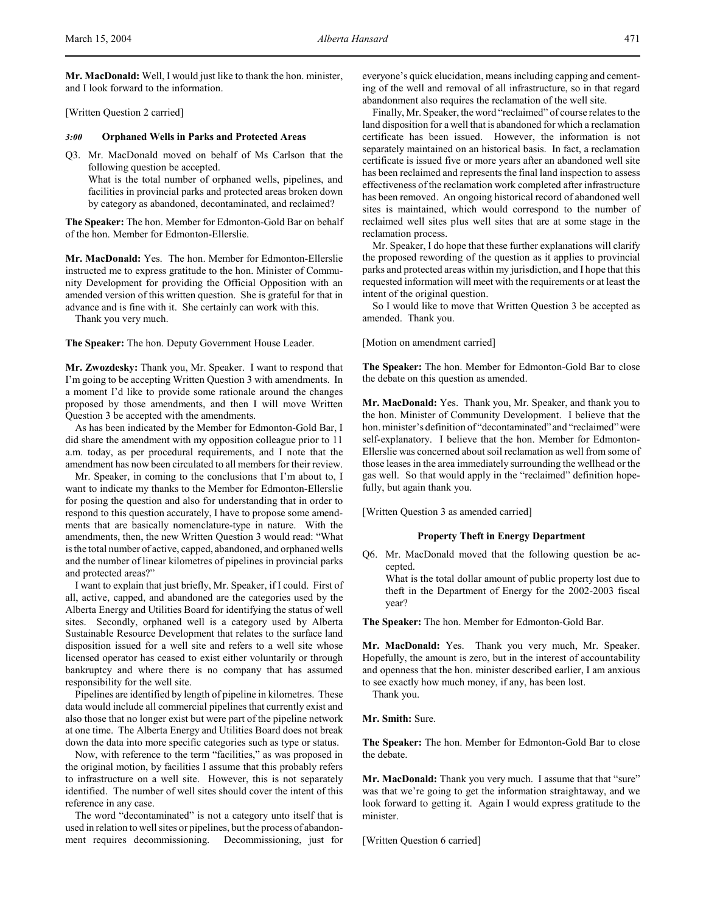**Mr. MacDonald:** Well, I would just like to thank the hon. minister, and I look forward to the information.

[Written Question 2 carried]

# *3:00* **Orphaned Wells in Parks and Protected Areas**

Q3. Mr. MacDonald moved on behalf of Ms Carlson that the following question be accepted.

What is the total number of orphaned wells, pipelines, and facilities in provincial parks and protected areas broken down by category as abandoned, decontaminated, and reclaimed?

**The Speaker:** The hon. Member for Edmonton-Gold Bar on behalf of the hon. Member for Edmonton-Ellerslie.

**Mr. MacDonald:** Yes. The hon. Member for Edmonton-Ellerslie instructed me to express gratitude to the hon. Minister of Community Development for providing the Official Opposition with an amended version of this written question. She is grateful for that in advance and is fine with it. She certainly can work with this.

Thank you very much.

**The Speaker:** The hon. Deputy Government House Leader.

**Mr. Zwozdesky:** Thank you, Mr. Speaker. I want to respond that I'm going to be accepting Written Question 3 with amendments. In a moment I'd like to provide some rationale around the changes proposed by those amendments, and then I will move Written Question 3 be accepted with the amendments.

As has been indicated by the Member for Edmonton-Gold Bar, I did share the amendment with my opposition colleague prior to 11 a.m. today, as per procedural requirements, and I note that the amendment has now been circulated to all members for their review.

Mr. Speaker, in coming to the conclusions that I'm about to, I want to indicate my thanks to the Member for Edmonton-Ellerslie for posing the question and also for understanding that in order to respond to this question accurately, I have to propose some amendments that are basically nomenclature-type in nature. With the amendments, then, the new Written Question 3 would read: "What is the total number of active, capped, abandoned, and orphaned wells and the number of linear kilometres of pipelines in provincial parks and protected areas?"

I want to explain that just briefly, Mr. Speaker, if I could. First of all, active, capped, and abandoned are the categories used by the Alberta Energy and Utilities Board for identifying the status of well sites. Secondly, orphaned well is a category used by Alberta Sustainable Resource Development that relates to the surface land disposition issued for a well site and refers to a well site whose licensed operator has ceased to exist either voluntarily or through bankruptcy and where there is no company that has assumed responsibility for the well site.

Pipelines are identified by length of pipeline in kilometres. These data would include all commercial pipelines that currently exist and also those that no longer exist but were part of the pipeline network at one time. The Alberta Energy and Utilities Board does not break down the data into more specific categories such as type or status.

Now, with reference to the term "facilities," as was proposed in the original motion, by facilities I assume that this probably refers to infrastructure on a well site. However, this is not separately identified. The number of well sites should cover the intent of this reference in any case.

The word "decontaminated" is not a category unto itself that is used in relation to well sites or pipelines, but the process of abandonment requires decommissioning. Decommissioning, just for everyone's quick elucidation, means including capping and cementing of the well and removal of all infrastructure, so in that regard abandonment also requires the reclamation of the well site.

Finally, Mr. Speaker, the word "reclaimed" of course relates to the land disposition for a well that is abandoned for which a reclamation certificate has been issued. However, the information is not separately maintained on an historical basis. In fact, a reclamation certificate is issued five or more years after an abandoned well site has been reclaimed and represents the final land inspection to assess effectiveness of the reclamation work completed after infrastructure has been removed. An ongoing historical record of abandoned well sites is maintained, which would correspond to the number of reclaimed well sites plus well sites that are at some stage in the reclamation process.

Mr. Speaker, I do hope that these further explanations will clarify the proposed rewording of the question as it applies to provincial parks and protected areas within my jurisdiction, and I hope that this requested information will meet with the requirements or at least the intent of the original question.

So I would like to move that Written Question 3 be accepted as amended. Thank you.

[Motion on amendment carried]

**The Speaker:** The hon. Member for Edmonton-Gold Bar to close the debate on this question as amended.

**Mr. MacDonald:** Yes. Thank you, Mr. Speaker, and thank you to the hon. Minister of Community Development. I believe that the hon. minister's definition of "decontaminated" and "reclaimed" were self-explanatory. I believe that the hon. Member for Edmonton-Ellerslie was concerned about soil reclamation as well from some of those leases in the area immediately surrounding the wellhead or the gas well. So that would apply in the "reclaimed" definition hopefully, but again thank you.

[Written Question 3 as amended carried]

# **Property Theft in Energy Department**

Q6. Mr. MacDonald moved that the following question be accepted.

What is the total dollar amount of public property lost due to theft in the Department of Energy for the 2002-2003 fiscal year?

**The Speaker:** The hon. Member for Edmonton-Gold Bar.

**Mr. MacDonald:** Yes. Thank you very much, Mr. Speaker. Hopefully, the amount is zero, but in the interest of accountability and openness that the hon. minister described earlier, I am anxious to see exactly how much money, if any, has been lost.

Thank you.

**Mr. Smith:** Sure.

**The Speaker:** The hon. Member for Edmonton-Gold Bar to close the debate.

Mr. MacDonald: Thank you very much. I assume that that "sure" was that we're going to get the information straightaway, and we look forward to getting it. Again I would express gratitude to the minister.

[Written Question 6 carried]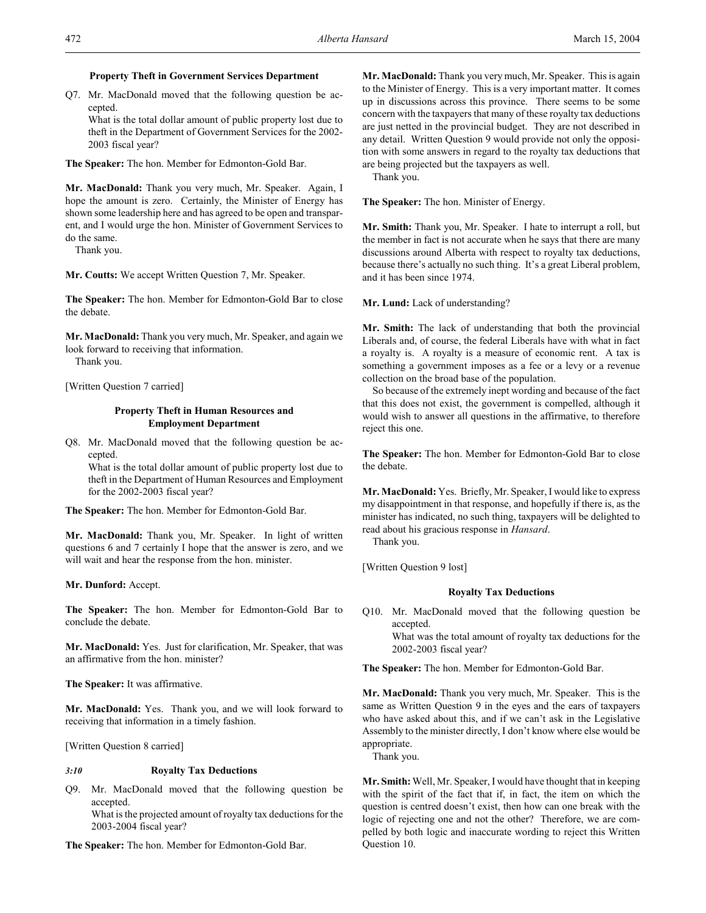# **Property Theft in Government Services Department**

Q7. Mr. MacDonald moved that the following question be accepted.

What is the total dollar amount of public property lost due to theft in the Department of Government Services for the 2002- 2003 fiscal year?

**The Speaker:** The hon. Member for Edmonton-Gold Bar.

**Mr. MacDonald:** Thank you very much, Mr. Speaker. Again, I hope the amount is zero. Certainly, the Minister of Energy has shown some leadership here and has agreed to be open and transparent, and I would urge the hon. Minister of Government Services to do the same.

Thank you.

**Mr. Coutts:** We accept Written Question 7, Mr. Speaker.

**The Speaker:** The hon. Member for Edmonton-Gold Bar to close the debate.

**Mr. MacDonald:** Thank you very much, Mr. Speaker, and again we look forward to receiving that information.

Thank you.

[Written Question 7 carried]

# **Property Theft in Human Resources and Employment Department**

Q8. Mr. MacDonald moved that the following question be accepted.

What is the total dollar amount of public property lost due to theft in the Department of Human Resources and Employment for the 2002-2003 fiscal year?

**The Speaker:** The hon. Member for Edmonton-Gold Bar.

**Mr. MacDonald:** Thank you, Mr. Speaker. In light of written questions 6 and 7 certainly I hope that the answer is zero, and we will wait and hear the response from the hon. minister.

**Mr. Dunford:** Accept.

**The Speaker:** The hon. Member for Edmonton-Gold Bar to conclude the debate.

**Mr. MacDonald:** Yes. Just for clarification, Mr. Speaker, that was an affirmative from the hon. minister?

**The Speaker:** It was affirmative.

**Mr. MacDonald:** Yes. Thank you, and we will look forward to receiving that information in a timely fashion.

[Written Question 8 carried]

### *3:10* **Royalty Tax Deductions**

Q9. Mr. MacDonald moved that the following question be accepted.

What is the projected amount of royalty tax deductions for the 2003-2004 fiscal year?

**The Speaker:** The hon. Member for Edmonton-Gold Bar.

**Mr. MacDonald:** Thank you very much, Mr. Speaker. This is again to the Minister of Energy. This is a very important matter. It comes up in discussions across this province. There seems to be some concern with the taxpayers that many of these royalty tax deductions are just netted in the provincial budget. They are not described in any detail. Written Question 9 would provide not only the opposition with some answers in regard to the royalty tax deductions that are being projected but the taxpayers as well.

Thank you.

**The Speaker:** The hon. Minister of Energy.

**Mr. Smith:** Thank you, Mr. Speaker. I hate to interrupt a roll, but the member in fact is not accurate when he says that there are many discussions around Alberta with respect to royalty tax deductions, because there's actually no such thing. It's a great Liberal problem, and it has been since 1974.

**Mr. Lund:** Lack of understanding?

**Mr. Smith:** The lack of understanding that both the provincial Liberals and, of course, the federal Liberals have with what in fact a royalty is. A royalty is a measure of economic rent. A tax is something a government imposes as a fee or a levy or a revenue collection on the broad base of the population.

So because of the extremely inept wording and because of the fact that this does not exist, the government is compelled, although it would wish to answer all questions in the affirmative, to therefore reject this one.

**The Speaker:** The hon. Member for Edmonton-Gold Bar to close the debate.

**Mr. MacDonald:** Yes. Briefly, Mr. Speaker, I would like to express my disappointment in that response, and hopefully if there is, as the minister has indicated, no such thing, taxpayers will be delighted to read about his gracious response in *Hansard*.

Thank you.

[Written Question 9 lost]

# **Royalty Tax Deductions**

Q10. Mr. MacDonald moved that the following question be accepted. What was the total amount of royalty tax deductions for the 2002-2003 fiscal year?

**The Speaker:** The hon. Member for Edmonton-Gold Bar.

**Mr. MacDonald:** Thank you very much, Mr. Speaker. This is the same as Written Question 9 in the eyes and the ears of taxpayers who have asked about this, and if we can't ask in the Legislative Assembly to the minister directly, I don't know where else would be appropriate.

Thank you.

**Mr. Smith:** Well, Mr. Speaker, I would have thought that in keeping with the spirit of the fact that if, in fact, the item on which the question is centred doesn't exist, then how can one break with the logic of rejecting one and not the other? Therefore, we are compelled by both logic and inaccurate wording to reject this Written Question 10.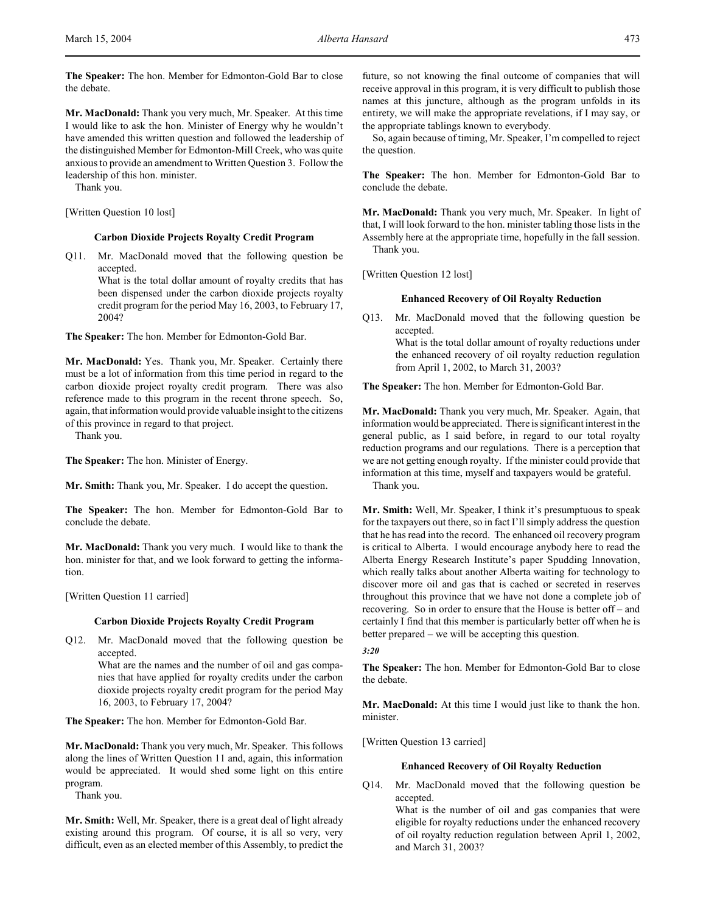**The Speaker:** The hon. Member for Edmonton-Gold Bar to close the debate.

**Mr. MacDonald:** Thank you very much, Mr. Speaker. At this time I would like to ask the hon. Minister of Energy why he wouldn't have amended this written question and followed the leadership of the distinguished Member for Edmonton-Mill Creek, who was quite anxious to provide an amendment to Written Question 3. Follow the leadership of this hon. minister.

Thank you.

[Written Question 10 lost]

# **Carbon Dioxide Projects Royalty Credit Program**

Q11. Mr. MacDonald moved that the following question be accepted.

> What is the total dollar amount of royalty credits that has been dispensed under the carbon dioxide projects royalty credit program for the period May 16, 2003, to February 17, 2004?

**The Speaker:** The hon. Member for Edmonton-Gold Bar.

**Mr. MacDonald:** Yes. Thank you, Mr. Speaker. Certainly there must be a lot of information from this time period in regard to the carbon dioxide project royalty credit program. There was also reference made to this program in the recent throne speech. So, again, that information would provide valuable insight to the citizens of this province in regard to that project.

Thank you.

**The Speaker:** The hon. Minister of Energy.

**Mr. Smith:** Thank you, Mr. Speaker. I do accept the question.

**The Speaker:** The hon. Member for Edmonton-Gold Bar to conclude the debate.

**Mr. MacDonald:** Thank you very much. I would like to thank the hon. minister for that, and we look forward to getting the information.

[Written Question 11 carried]

# **Carbon Dioxide Projects Royalty Credit Program**

Q12. Mr. MacDonald moved that the following question be accepted. What are the names and the number of oil and gas companies that have applied for royalty credits under the carbon dioxide projects royalty credit program for the period May

**The Speaker:** The hon. Member for Edmonton-Gold Bar.

16, 2003, to February 17, 2004?

**Mr. MacDonald:** Thank you very much, Mr. Speaker. This follows along the lines of Written Question 11 and, again, this information would be appreciated. It would shed some light on this entire program.

Thank you.

**Mr. Smith:** Well, Mr. Speaker, there is a great deal of light already existing around this program. Of course, it is all so very, very difficult, even as an elected member of this Assembly, to predict the future, so not knowing the final outcome of companies that will receive approval in this program, it is very difficult to publish those names at this juncture, although as the program unfolds in its entirety, we will make the appropriate revelations, if I may say, or the appropriate tablings known to everybody.

So, again because of timing, Mr. Speaker, I'm compelled to reject the question.

**The Speaker:** The hon. Member for Edmonton-Gold Bar to conclude the debate.

**Mr. MacDonald:** Thank you very much, Mr. Speaker. In light of that, I will look forward to the hon. minister tabling those lists in the Assembly here at the appropriate time, hopefully in the fall session. Thank you.

[Written Question 12 lost]

# **Enhanced Recovery of Oil Royalty Reduction**

Q13. Mr. MacDonald moved that the following question be accepted. What is the total dollar amount of royalty reductions under the enhanced recovery of oil royalty reduction regulation from April 1, 2002, to March 31, 2003?

**The Speaker:** The hon. Member for Edmonton-Gold Bar.

**Mr. MacDonald:** Thank you very much, Mr. Speaker. Again, that information would be appreciated. There is significant interest in the general public, as I said before, in regard to our total royalty reduction programs and our regulations. There is a perception that we are not getting enough royalty. If the minister could provide that information at this time, myself and taxpayers would be grateful. Thank you.

**Mr. Smith:** Well, Mr. Speaker, I think it's presumptuous to speak for the taxpayers out there, so in fact I'll simply address the question that he has read into the record. The enhanced oil recovery program is critical to Alberta. I would encourage anybody here to read the Alberta Energy Research Institute's paper Spudding Innovation, which really talks about another Alberta waiting for technology to discover more oil and gas that is cached or secreted in reserves throughout this province that we have not done a complete job of recovering. So in order to ensure that the House is better off – and certainly I find that this member is particularly better off when he is better prepared – we will be accepting this question.

### *3:20*

**The Speaker:** The hon. Member for Edmonton-Gold Bar to close the debate.

**Mr. MacDonald:** At this time I would just like to thank the hon. minister.

[Written Question 13 carried]

### **Enhanced Recovery of Oil Royalty Reduction**

Q14. Mr. MacDonald moved that the following question be accepted.

What is the number of oil and gas companies that were eligible for royalty reductions under the enhanced recovery of oil royalty reduction regulation between April 1, 2002, and March 31, 2003?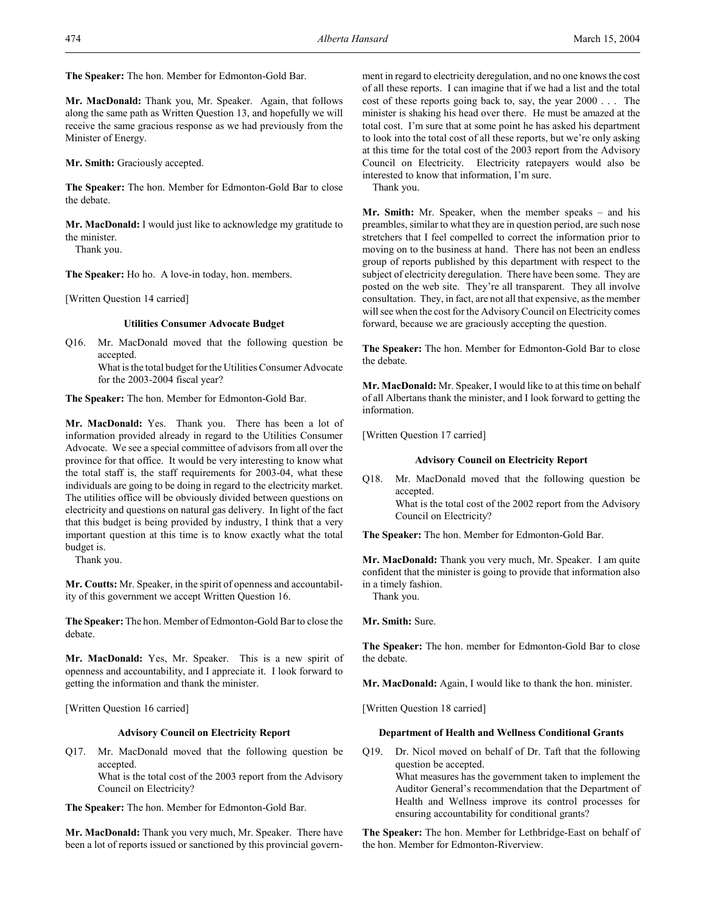**The Speaker:** The hon. Member for Edmonton-Gold Bar.

**Mr. MacDonald:** Thank you, Mr. Speaker. Again, that follows along the same path as Written Question 13, and hopefully we will receive the same gracious response as we had previously from the Minister of Energy.

**Mr. Smith:** Graciously accepted.

**The Speaker:** The hon. Member for Edmonton-Gold Bar to close the debate.

**Mr. MacDonald:** I would just like to acknowledge my gratitude to the minister.

Thank you.

**The Speaker:** Ho ho. A love-in today, hon. members.

[Written Question 14 carried]

# **Utilities Consumer Advocate Budget**

Q16. Mr. MacDonald moved that the following question be accepted.

> What is the total budget for the Utilities Consumer Advocate for the 2003-2004 fiscal year?

**The Speaker:** The hon. Member for Edmonton-Gold Bar.

**Mr. MacDonald:** Yes. Thank you. There has been a lot of information provided already in regard to the Utilities Consumer Advocate. We see a special committee of advisors from all over the province for that office. It would be very interesting to know what the total staff is, the staff requirements for 2003-04, what these individuals are going to be doing in regard to the electricity market. The utilities office will be obviously divided between questions on electricity and questions on natural gas delivery. In light of the fact that this budget is being provided by industry, I think that a very important question at this time is to know exactly what the total budget is.

Thank you.

**Mr. Coutts:** Mr. Speaker, in the spirit of openness and accountability of this government we accept Written Question 16.

**The Speaker:** The hon. Member of Edmonton-Gold Bar to close the debate.

**Mr. MacDonald:** Yes, Mr. Speaker. This is a new spirit of openness and accountability, and I appreciate it. I look forward to getting the information and thank the minister.

[Written Question 16 carried]

# **Advisory Council on Electricity Report**

Q17. Mr. MacDonald moved that the following question be accepted.

What is the total cost of the 2003 report from the Advisory Council on Electricity?

**The Speaker:** The hon. Member for Edmonton-Gold Bar.

**Mr. MacDonald:** Thank you very much, Mr. Speaker. There have been a lot of reports issued or sanctioned by this provincial government in regard to electricity deregulation, and no one knows the cost of all these reports. I can imagine that if we had a list and the total cost of these reports going back to, say, the year 2000 . . . The minister is shaking his head over there. He must be amazed at the total cost. I'm sure that at some point he has asked his department to look into the total cost of all these reports, but we're only asking at this time for the total cost of the 2003 report from the Advisory Council on Electricity. Electricity ratepayers would also be interested to know that information, I'm sure.

Thank you.

**Mr. Smith:** Mr. Speaker, when the member speaks – and his preambles, similar to what they are in question period, are such nose stretchers that I feel compelled to correct the information prior to moving on to the business at hand. There has not been an endless group of reports published by this department with respect to the subject of electricity deregulation. There have been some. They are posted on the web site. They're all transparent. They all involve consultation. They, in fact, are not all that expensive, as the member will see when the cost for the Advisory Council on Electricity comes forward, because we are graciously accepting the question.

**The Speaker:** The hon. Member for Edmonton-Gold Bar to close the debate.

**Mr. MacDonald:** Mr. Speaker, I would like to at this time on behalf of all Albertans thank the minister, and I look forward to getting the information.

[Written Question 17 carried]

### **Advisory Council on Electricity Report**

Q18. Mr. MacDonald moved that the following question be accepted. What is the total cost of the 2002 report from the Advisory Council on Electricity?

**The Speaker:** The hon. Member for Edmonton-Gold Bar.

**Mr. MacDonald:** Thank you very much, Mr. Speaker. I am quite confident that the minister is going to provide that information also in a timely fashion.

Thank you.

**Mr. Smith:** Sure.

**The Speaker:** The hon. member for Edmonton-Gold Bar to close the debate.

**Mr. MacDonald:** Again, I would like to thank the hon. minister.

[Written Question 18 carried]

# **Department of Health and Wellness Conditional Grants**

Q19. Dr. Nicol moved on behalf of Dr. Taft that the following question be accepted. What measures has the government taken to implement the Auditor General's recommendation that the Department of Health and Wellness improve its control processes for ensuring accountability for conditional grants?

**The Speaker:** The hon. Member for Lethbridge-East on behalf of the hon. Member for Edmonton-Riverview.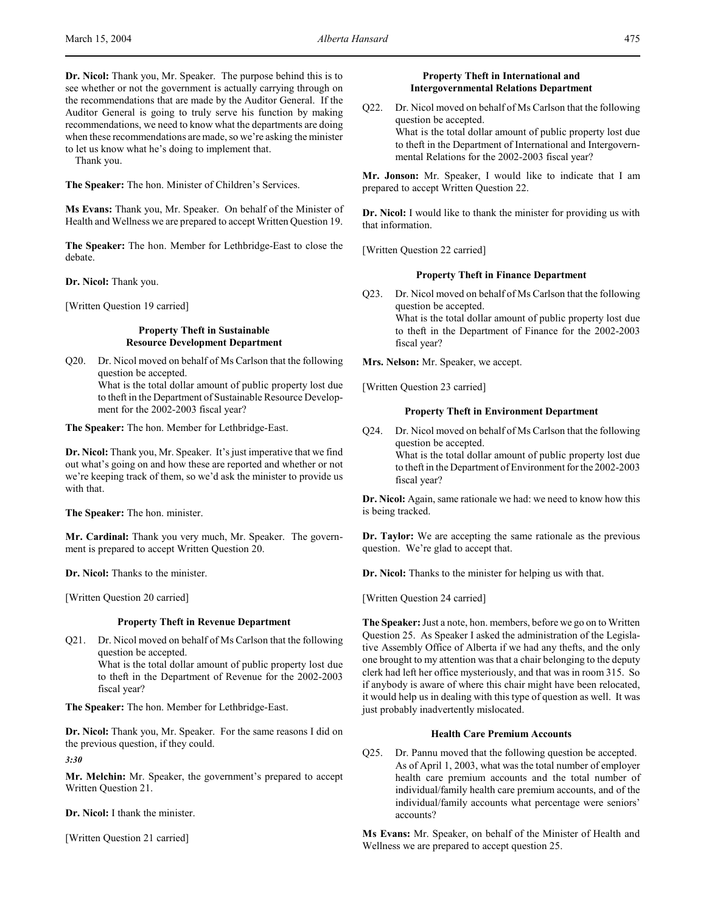**Dr. Nicol:** Thank you, Mr. Speaker. The purpose behind this is to see whether or not the government is actually carrying through on the recommendations that are made by the Auditor General. If the Auditor General is going to truly serve his function by making recommendations, we need to know what the departments are doing when these recommendations are made, so we're asking the minister to let us know what he's doing to implement that.

Thank you.

**The Speaker:** The hon. Minister of Children's Services.

**Ms Evans:** Thank you, Mr. Speaker. On behalf of the Minister of Health and Wellness we are prepared to accept Written Question 19.

**The Speaker:** The hon. Member for Lethbridge-East to close the debate.

**Dr. Nicol:** Thank you.

[Written Question 19 carried]

# **Property Theft in Sustainable Resource Development Department**

Q20. Dr. Nicol moved on behalf of Ms Carlson that the following question be accepted. What is the total dollar amount of public property lost due to theft in the Department of Sustainable Resource Development for the 2002-2003 fiscal year?

**The Speaker:** The hon. Member for Lethbridge-East.

**Dr. Nicol:** Thank you, Mr. Speaker. It's just imperative that we find out what's going on and how these are reported and whether or not we're keeping track of them, so we'd ask the minister to provide us with that.

**The Speaker:** The hon. minister.

**Mr. Cardinal:** Thank you very much, Mr. Speaker. The government is prepared to accept Written Question 20.

**Dr. Nicol:** Thanks to the minister.

[Written Question 20 carried]

# **Property Theft in Revenue Department**

Q21. Dr. Nicol moved on behalf of Ms Carlson that the following question be accepted. What is the total dollar amount of public property lost due to theft in the Department of Revenue for the 2002-2003 fiscal year?

**The Speaker:** The hon. Member for Lethbridge-East.

**Dr. Nicol:** Thank you, Mr. Speaker. For the same reasons I did on the previous question, if they could.

*3:30*

**Mr. Melchin:** Mr. Speaker, the government's prepared to accept Written Question 21.

**Dr. Nicol:** I thank the minister.

[Written Question 21 carried]

# **Property Theft in International and Intergovernmental Relations Department**

Q22. Dr. Nicol moved on behalf of Ms Carlson that the following question be accepted. What is the total dollar amount of public property lost due to theft in the Department of International and Intergovernmental Relations for the 2002-2003 fiscal year?

**Mr. Jonson:** Mr. Speaker, I would like to indicate that I am prepared to accept Written Question 22.

**Dr. Nicol:** I would like to thank the minister for providing us with that information.

[Written Question 22 carried]

# **Property Theft in Finance Department**

Q23. Dr. Nicol moved on behalf of Ms Carlson that the following question be accepted. What is the total dollar amount of public property lost due to theft in the Department of Finance for the 2002-2003 fiscal year?

**Mrs. Nelson:** Mr. Speaker, we accept.

[Written Question 23 carried]

### **Property Theft in Environment Department**

Q24. Dr. Nicol moved on behalf of Ms Carlson that the following question be accepted. What is the total dollar amount of public property lost due

to theft in the Department of Environment for the 2002-2003 fiscal year?

**Dr. Nicol:** Again, same rationale we had: we need to know how this is being tracked.

**Dr. Taylor:** We are accepting the same rationale as the previous question. We're glad to accept that.

**Dr. Nicol:** Thanks to the minister for helping us with that.

[Written Question 24 carried]

**The Speaker:** Just a note, hon. members, before we go on to Written Question 25. As Speaker I asked the administration of the Legislative Assembly Office of Alberta if we had any thefts, and the only one brought to my attention was that a chair belonging to the deputy clerk had left her office mysteriously, and that was in room 315. So if anybody is aware of where this chair might have been relocated, it would help us in dealing with this type of question as well. It was just probably inadvertently mislocated.

# **Health Care Premium Accounts**

Q25. Dr. Pannu moved that the following question be accepted. As of April 1, 2003, what was the total number of employer health care premium accounts and the total number of individual/family health care premium accounts, and of the individual/family accounts what percentage were seniors' accounts?

**Ms Evans:** Mr. Speaker, on behalf of the Minister of Health and Wellness we are prepared to accept question 25.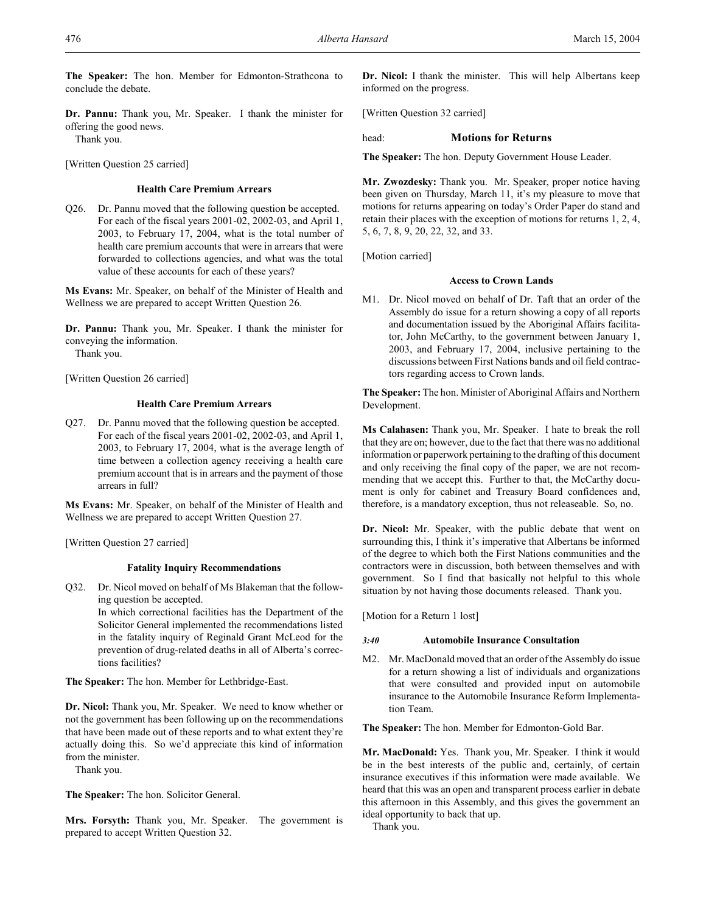**The Speaker:** The hon. Member for Edmonton-Strathcona to conclude the debate.

**Dr. Pannu:** Thank you, Mr. Speaker. I thank the minister for offering the good news.

Thank you.

[Written Question 25 carried]

# **Health Care Premium Arrears**

Q26. Dr. Pannu moved that the following question be accepted. For each of the fiscal years 2001-02, 2002-03, and April 1, 2003, to February 17, 2004, what is the total number of health care premium accounts that were in arrears that were forwarded to collections agencies, and what was the total value of these accounts for each of these years?

**Ms Evans:** Mr. Speaker, on behalf of the Minister of Health and Wellness we are prepared to accept Written Question 26.

**Dr. Pannu:** Thank you, Mr. Speaker. I thank the minister for conveying the information.

Thank you.

[Written Question 26 carried]

# **Health Care Premium Arrears**

Q27. Dr. Pannu moved that the following question be accepted. For each of the fiscal years 2001-02, 2002-03, and April 1, 2003, to February 17, 2004, what is the average length of time between a collection agency receiving a health care premium account that is in arrears and the payment of those arrears in full?

**Ms Evans:** Mr. Speaker, on behalf of the Minister of Health and Wellness we are prepared to accept Written Question 27.

[Written Question 27 carried]

# **Fatality Inquiry Recommendations**

Q32. Dr. Nicol moved on behalf of Ms Blakeman that the following question be accepted.

> In which correctional facilities has the Department of the Solicitor General implemented the recommendations listed in the fatality inquiry of Reginald Grant McLeod for the prevention of drug-related deaths in all of Alberta's corrections facilities?

**The Speaker:** The hon. Member for Lethbridge-East.

**Dr. Nicol:** Thank you, Mr. Speaker. We need to know whether or not the government has been following up on the recommendations that have been made out of these reports and to what extent they're actually doing this. So we'd appreciate this kind of information from the minister.

Thank you.

**The Speaker:** The hon. Solicitor General.

**Mrs. Forsyth:** Thank you, Mr. Speaker. The government is prepared to accept Written Question 32.

**Dr. Nicol:** I thank the minister. This will help Albertans keep informed on the progress.

[Written Question 32 carried]

# head: **Motions for Returns**

**The Speaker:** The hon. Deputy Government House Leader.

**Mr. Zwozdesky:** Thank you. Mr. Speaker, proper notice having been given on Thursday, March 11, it's my pleasure to move that motions for returns appearing on today's Order Paper do stand and retain their places with the exception of motions for returns 1, 2, 4, 5, 6, 7, 8, 9, 20, 22, 32, and 33.

[Motion carried]

# **Access to Crown Lands**

M1. Dr. Nicol moved on behalf of Dr. Taft that an order of the Assembly do issue for a return showing a copy of all reports and documentation issued by the Aboriginal Affairs facilitator, John McCarthy, to the government between January 1, 2003, and February 17, 2004, inclusive pertaining to the discussions between First Nations bands and oil field contractors regarding access to Crown lands.

**The Speaker:** The hon. Minister of Aboriginal Affairs and Northern Development.

**Ms Calahasen:** Thank you, Mr. Speaker. I hate to break the roll that they are on; however, due to the fact that there was no additional information or paperwork pertaining to the drafting of this document and only receiving the final copy of the paper, we are not recommending that we accept this. Further to that, the McCarthy document is only for cabinet and Treasury Board confidences and, therefore, is a mandatory exception, thus not releaseable. So, no.

**Dr. Nicol:** Mr. Speaker, with the public debate that went on surrounding this, I think it's imperative that Albertans be informed of the degree to which both the First Nations communities and the contractors were in discussion, both between themselves and with government. So I find that basically not helpful to this whole situation by not having those documents released. Thank you.

[Motion for a Return 1 lost]

# *3:40* **Automobile Insurance Consultation**

M2. Mr. MacDonald moved that an order of the Assembly do issue for a return showing a list of individuals and organizations that were consulted and provided input on automobile insurance to the Automobile Insurance Reform Implementation Team.

**The Speaker:** The hon. Member for Edmonton-Gold Bar.

**Mr. MacDonald:** Yes. Thank you, Mr. Speaker. I think it would be in the best interests of the public and, certainly, of certain insurance executives if this information were made available. We heard that this was an open and transparent process earlier in debate this afternoon in this Assembly, and this gives the government an ideal opportunity to back that up.

Thank you.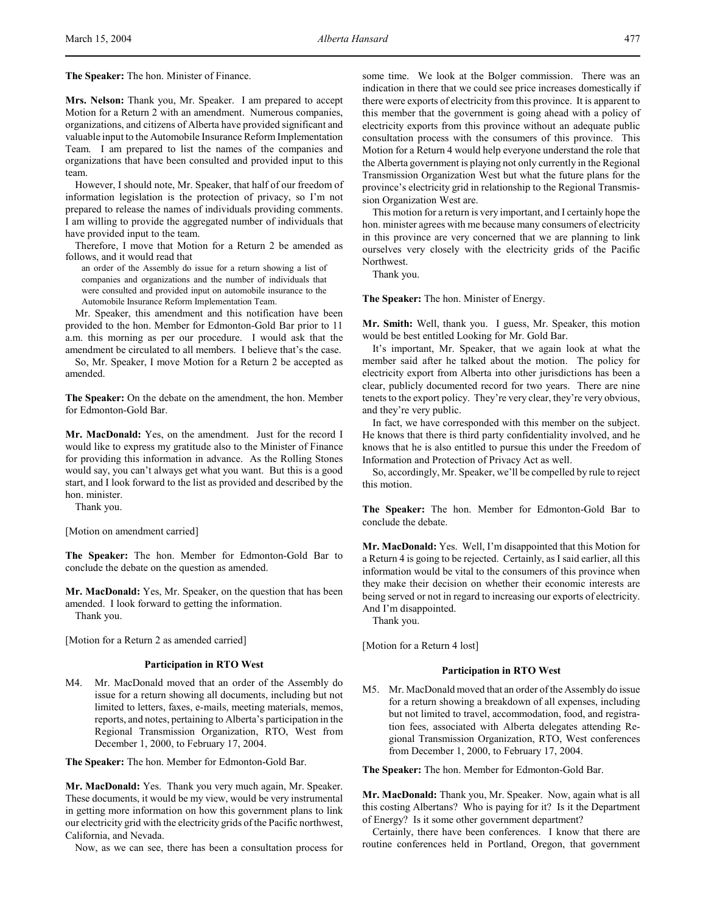**The Speaker:** The hon. Minister of Finance.

**Mrs. Nelson:** Thank you, Mr. Speaker. I am prepared to accept Motion for a Return 2 with an amendment. Numerous companies, organizations, and citizens of Alberta have provided significant and valuable input to the Automobile Insurance Reform Implementation Team. I am prepared to list the names of the companies and organizations that have been consulted and provided input to this team.

However, I should note, Mr. Speaker, that half of our freedom of information legislation is the protection of privacy, so I'm not prepared to release the names of individuals providing comments. I am willing to provide the aggregated number of individuals that have provided input to the team.

Therefore, I move that Motion for a Return 2 be amended as follows, and it would read that

an order of the Assembly do issue for a return showing a list of companies and organizations and the number of individuals that were consulted and provided input on automobile insurance to the Automobile Insurance Reform Implementation Team.

Mr. Speaker, this amendment and this notification have been provided to the hon. Member for Edmonton-Gold Bar prior to 11 a.m. this morning as per our procedure. I would ask that the amendment be circulated to all members. I believe that's the case.

So, Mr. Speaker, I move Motion for a Return 2 be accepted as amended.

**The Speaker:** On the debate on the amendment, the hon. Member for Edmonton-Gold Bar.

**Mr. MacDonald:** Yes, on the amendment. Just for the record I would like to express my gratitude also to the Minister of Finance for providing this information in advance. As the Rolling Stones would say, you can't always get what you want. But this is a good start, and I look forward to the list as provided and described by the hon. minister.

Thank you.

[Motion on amendment carried]

**The Speaker:** The hon. Member for Edmonton-Gold Bar to conclude the debate on the question as amended.

**Mr. MacDonald:** Yes, Mr. Speaker, on the question that has been amended. I look forward to getting the information. Thank you.

[Motion for a Return 2 as amended carried]

# **Participation in RTO West**

M4. Mr. MacDonald moved that an order of the Assembly do issue for a return showing all documents, including but not limited to letters, faxes, e-mails, meeting materials, memos, reports, and notes, pertaining to Alberta's participation in the Regional Transmission Organization, RTO, West from December 1, 2000, to February 17, 2004.

**The Speaker:** The hon. Member for Edmonton-Gold Bar.

**Mr. MacDonald:** Yes. Thank you very much again, Mr. Speaker. These documents, it would be my view, would be very instrumental in getting more information on how this government plans to link our electricity grid with the electricity grids of the Pacific northwest, California, and Nevada.

Now, as we can see, there has been a consultation process for

some time. We look at the Bolger commission. There was an indication in there that we could see price increases domestically if there were exports of electricity from this province. It is apparent to this member that the government is going ahead with a policy of electricity exports from this province without an adequate public consultation process with the consumers of this province. This Motion for a Return 4 would help everyone understand the role that the Alberta government is playing not only currently in the Regional Transmission Organization West but what the future plans for the province's electricity grid in relationship to the Regional Transmission Organization West are.

This motion for a return is very important, and I certainly hope the hon. minister agrees with me because many consumers of electricity in this province are very concerned that we are planning to link ourselves very closely with the electricity grids of the Pacific Northwest.

Thank you.

**The Speaker:** The hon. Minister of Energy.

**Mr. Smith:** Well, thank you. I guess, Mr. Speaker, this motion would be best entitled Looking for Mr. Gold Bar.

It's important, Mr. Speaker, that we again look at what the member said after he talked about the motion. The policy for electricity export from Alberta into other jurisdictions has been a clear, publicly documented record for two years. There are nine tenets to the export policy. They're very clear, they're very obvious, and they're very public.

In fact, we have corresponded with this member on the subject. He knows that there is third party confidentiality involved, and he knows that he is also entitled to pursue this under the Freedom of Information and Protection of Privacy Act as well.

So, accordingly, Mr. Speaker, we'll be compelled by rule to reject this motion.

**The Speaker:** The hon. Member for Edmonton-Gold Bar to conclude the debate.

**Mr. MacDonald:** Yes. Well, I'm disappointed that this Motion for a Return 4 is going to be rejected. Certainly, as I said earlier, all this information would be vital to the consumers of this province when they make their decision on whether their economic interests are being served or not in regard to increasing our exports of electricity. And I'm disappointed.

Thank you.

[Motion for a Return 4 lost]

# **Participation in RTO West**

M5. Mr. MacDonald moved that an order of the Assembly do issue for a return showing a breakdown of all expenses, including but not limited to travel, accommodation, food, and registration fees, associated with Alberta delegates attending Regional Transmission Organization, RTO, West conferences from December 1, 2000, to February 17, 2004.

**The Speaker:** The hon. Member for Edmonton-Gold Bar.

**Mr. MacDonald:** Thank you, Mr. Speaker. Now, again what is all this costing Albertans? Who is paying for it? Is it the Department of Energy? Is it some other government department?

Certainly, there have been conferences. I know that there are routine conferences held in Portland, Oregon, that government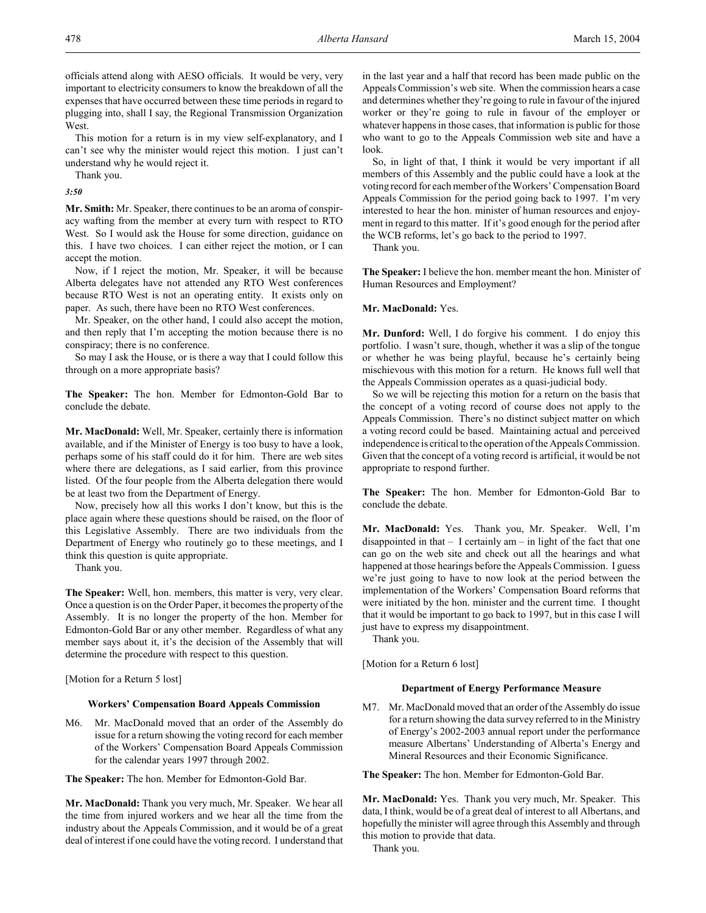officials attend along with AESO officials. It would be very, very important to electricity consumers to know the breakdown of all the expenses that have occurred between these time periods in regard to plugging into, shall I say, the Regional Transmission Organization West.

This motion for a return is in my view self-explanatory, and I can't see why the minister would reject this motion. I just can't understand why he would reject it.

Thank you.

*3:50*

**Mr. Smith:** Mr. Speaker, there continues to be an aroma of conspiracy wafting from the member at every turn with respect to RTO West. So I would ask the House for some direction, guidance on this. I have two choices. I can either reject the motion, or I can accept the motion.

Now, if I reject the motion, Mr. Speaker, it will be because Alberta delegates have not attended any RTO West conferences because RTO West is not an operating entity. It exists only on paper. As such, there have been no RTO West conferences.

Mr. Speaker, on the other hand, I could also accept the motion, and then reply that I'm accepting the motion because there is no conspiracy; there is no conference.

So may I ask the House, or is there a way that I could follow this through on a more appropriate basis?

**The Speaker:** The hon. Member for Edmonton-Gold Bar to conclude the debate.

**Mr. MacDonald:** Well, Mr. Speaker, certainly there is information available, and if the Minister of Energy is too busy to have a look, perhaps some of his staff could do it for him. There are web sites where there are delegations, as I said earlier, from this province listed. Of the four people from the Alberta delegation there would be at least two from the Department of Energy.

Now, precisely how all this works I don't know, but this is the place again where these questions should be raised, on the floor of this Legislative Assembly. There are two individuals from the Department of Energy who routinely go to these meetings, and I think this question is quite appropriate.

Thank you.

**The Speaker:** Well, hon. members, this matter is very, very clear. Once a question is on the Order Paper, it becomes the property of the Assembly. It is no longer the property of the hon. Member for Edmonton-Gold Bar or any other member. Regardless of what any member says about it, it's the decision of the Assembly that will determine the procedure with respect to this question.

[Motion for a Return 5 lost]

### **Workers' Compensation Board Appeals Commission**

M6. Mr. MacDonald moved that an order of the Assembly do issue for a return showing the voting record for each member of the Workers' Compensation Board Appeals Commission for the calendar years 1997 through 2002.

**The Speaker:** The hon. Member for Edmonton-Gold Bar.

**Mr. MacDonald:** Thank you very much, Mr. Speaker. We hear all the time from injured workers and we hear all the time from the industry about the Appeals Commission, and it would be of a great deal of interest if one could have the voting record. I understand that

in the last year and a half that record has been made public on the Appeals Commission's web site. When the commission hears a case and determines whether they're going to rule in favour of the injured worker or they're going to rule in favour of the employer or whatever happens in those cases, that information is public for those who want to go to the Appeals Commission web site and have a look.

So, in light of that, I think it would be very important if all members of this Assembly and the public could have a look at the voting record for each member of the Workers' Compensation Board Appeals Commission for the period going back to 1997. I'm very interested to hear the hon. minister of human resources and enjoyment in regard to this matter. If it's good enough for the period after the WCB reforms, let's go back to the period to 1997.

Thank you.

**The Speaker:** I believe the hon. member meant the hon. Minister of Human Resources and Employment?

#### **Mr. MacDonald:** Yes.

**Mr. Dunford:** Well, I do forgive his comment. I do enjoy this portfolio. I wasn't sure, though, whether it was a slip of the tongue or whether he was being playful, because he's certainly being mischievous with this motion for a return. He knows full well that the Appeals Commission operates as a quasi-judicial body.

So we will be rejecting this motion for a return on the basis that the concept of a voting record of course does not apply to the Appeals Commission. There's no distinct subject matter on which a voting record could be based. Maintaining actual and perceived independence is critical to the operation of the Appeals Commission. Given that the concept of a voting record is artificial, it would be not appropriate to respond further.

**The Speaker:** The hon. Member for Edmonton-Gold Bar to conclude the debate.

**Mr. MacDonald:** Yes. Thank you, Mr. Speaker. Well, I'm disappointed in that  $- I$  certainly am  $-$  in light of the fact that one can go on the web site and check out all the hearings and what happened at those hearings before the Appeals Commission. I guess we're just going to have to now look at the period between the implementation of the Workers' Compensation Board reforms that were initiated by the hon. minister and the current time. I thought that it would be important to go back to 1997, but in this case I will just have to express my disappointment.

Thank you.

[Motion for a Return 6 lost]

### **Department of Energy Performance Measure**

M7. Mr. MacDonald moved that an order of the Assembly do issue for a return showing the data survey referred to in the Ministry of Energy's 2002-2003 annual report under the performance measure Albertans' Understanding of Alberta's Energy and Mineral Resources and their Economic Significance.

**The Speaker:** The hon. Member for Edmonton-Gold Bar.

**Mr. MacDonald:** Yes. Thank you very much, Mr. Speaker. This data, I think, would be of a great deal of interest to all Albertans, and hopefully the minister will agree through this Assembly and through this motion to provide that data.

Thank you.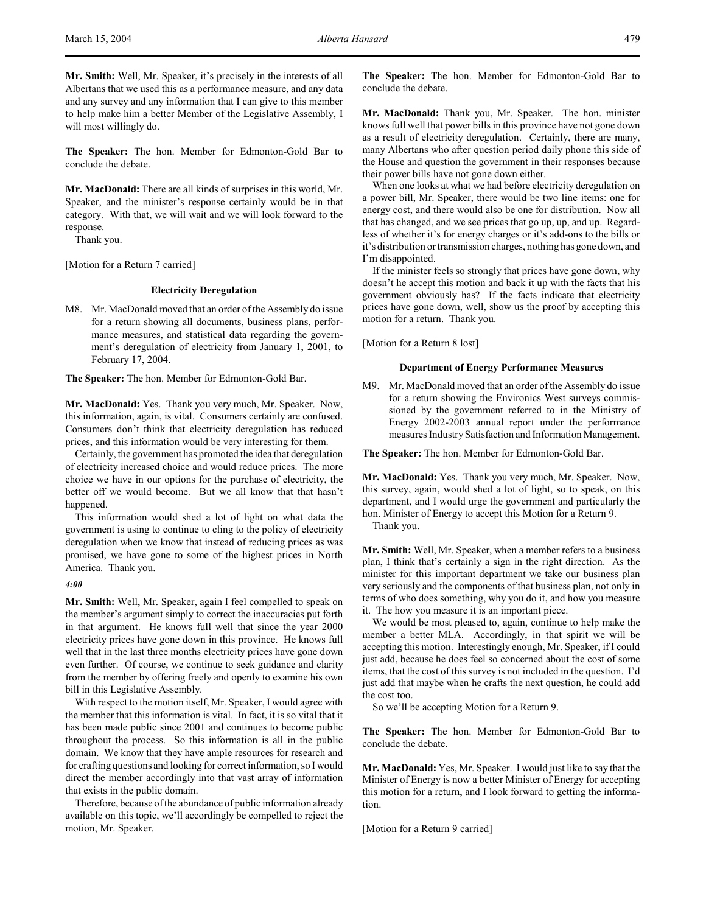**The Speaker:** The hon. Member for Edmonton-Gold Bar to conclude the debate.

**Mr. MacDonald:** There are all kinds of surprises in this world, Mr. Speaker, and the minister's response certainly would be in that category. With that, we will wait and we will look forward to the response.

Thank you.

[Motion for a Return 7 carried]

## **Electricity Deregulation**

M8. Mr. MacDonald moved that an order of the Assembly do issue for a return showing all documents, business plans, performance measures, and statistical data regarding the government's deregulation of electricity from January 1, 2001, to February 17, 2004.

**The Speaker:** The hon. Member for Edmonton-Gold Bar.

**Mr. MacDonald:** Yes. Thank you very much, Mr. Speaker. Now, this information, again, is vital. Consumers certainly are confused. Consumers don't think that electricity deregulation has reduced prices, and this information would be very interesting for them.

Certainly, the government has promoted the idea that deregulation of electricity increased choice and would reduce prices. The more choice we have in our options for the purchase of electricity, the better off we would become. But we all know that that hasn't happened.

This information would shed a lot of light on what data the government is using to continue to cling to the policy of electricity deregulation when we know that instead of reducing prices as was promised, we have gone to some of the highest prices in North America. Thank you.

#### *4:00*

**Mr. Smith:** Well, Mr. Speaker, again I feel compelled to speak on the member's argument simply to correct the inaccuracies put forth in that argument. He knows full well that since the year 2000 electricity prices have gone down in this province. He knows full well that in the last three months electricity prices have gone down even further. Of course, we continue to seek guidance and clarity from the member by offering freely and openly to examine his own bill in this Legislative Assembly.

With respect to the motion itself, Mr. Speaker, I would agree with the member that this information is vital. In fact, it is so vital that it has been made public since 2001 and continues to become public throughout the process. So this information is all in the public domain. We know that they have ample resources for research and for crafting questions and looking for correct information, so I would direct the member accordingly into that vast array of information that exists in the public domain.

Therefore, because of the abundance of public information already available on this topic, we'll accordingly be compelled to reject the motion, Mr. Speaker.

**The Speaker:** The hon. Member for Edmonton-Gold Bar to conclude the debate.

**Mr. MacDonald:** Thank you, Mr. Speaker. The hon. minister knows full well that power bills in this province have not gone down as a result of electricity deregulation. Certainly, there are many, many Albertans who after question period daily phone this side of the House and question the government in their responses because their power bills have not gone down either.

When one looks at what we had before electricity deregulation on a power bill, Mr. Speaker, there would be two line items: one for energy cost, and there would also be one for distribution. Now all that has changed, and we see prices that go up, up, and up. Regardless of whether it's for energy charges or it's add-ons to the bills or it's distribution or transmission charges, nothing has gone down, and I'm disappointed.

If the minister feels so strongly that prices have gone down, why doesn't he accept this motion and back it up with the facts that his government obviously has? If the facts indicate that electricity prices have gone down, well, show us the proof by accepting this motion for a return. Thank you.

[Motion for a Return 8 lost]

#### **Department of Energy Performance Measures**

M9. Mr. MacDonald moved that an order of the Assembly do issue for a return showing the Environics West surveys commissioned by the government referred to in the Ministry of Energy 2002-2003 annual report under the performance measures Industry Satisfaction and Information Management.

**The Speaker:** The hon. Member for Edmonton-Gold Bar.

**Mr. MacDonald:** Yes. Thank you very much, Mr. Speaker. Now, this survey, again, would shed a lot of light, so to speak, on this department, and I would urge the government and particularly the hon. Minister of Energy to accept this Motion for a Return 9. Thank you.

**Mr. Smith:** Well, Mr. Speaker, when a member refers to a business plan, I think that's certainly a sign in the right direction. As the minister for this important department we take our business plan very seriously and the components of that business plan, not only in terms of who does something, why you do it, and how you measure it. The how you measure it is an important piece.

We would be most pleased to, again, continue to help make the member a better MLA. Accordingly, in that spirit we will be accepting this motion. Interestingly enough, Mr. Speaker, if I could just add, because he does feel so concerned about the cost of some items, that the cost of this survey is not included in the question. I'd just add that maybe when he crafts the next question, he could add the cost too.

So we'll be accepting Motion for a Return 9.

**The Speaker:** The hon. Member for Edmonton-Gold Bar to conclude the debate.

**Mr. MacDonald:** Yes, Mr. Speaker. I would just like to say that the Minister of Energy is now a better Minister of Energy for accepting this motion for a return, and I look forward to getting the information.

[Motion for a Return 9 carried]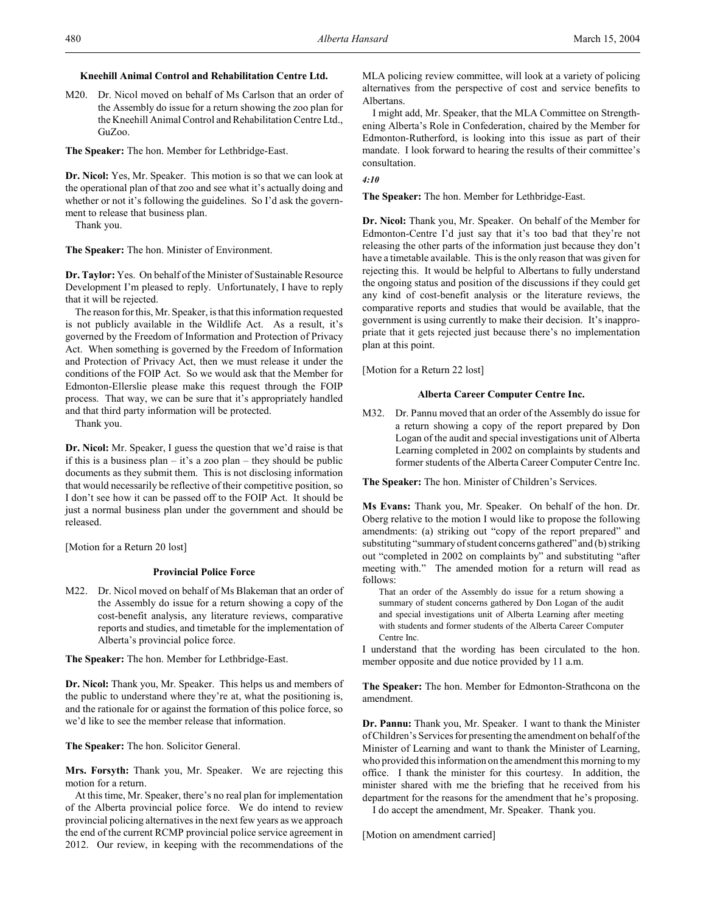# **Kneehill Animal Control and Rehabilitation Centre Ltd.**

M20. Dr. Nicol moved on behalf of Ms Carlson that an order of the Assembly do issue for a return showing the zoo plan for the Kneehill Animal Control and Rehabilitation Centre Ltd., GuZoo.

**The Speaker:** The hon. Member for Lethbridge-East.

**Dr. Nicol:** Yes, Mr. Speaker. This motion is so that we can look at the operational plan of that zoo and see what it's actually doing and whether or not it's following the guidelines. So I'd ask the government to release that business plan.

Thank you.

**The Speaker:** The hon. Minister of Environment.

**Dr. Taylor:** Yes. On behalf of the Minister of Sustainable Resource Development I'm pleased to reply. Unfortunately, I have to reply that it will be rejected.

The reason for this, Mr. Speaker, is that this information requested is not publicly available in the Wildlife Act. As a result, it's governed by the Freedom of Information and Protection of Privacy Act. When something is governed by the Freedom of Information and Protection of Privacy Act, then we must release it under the conditions of the FOIP Act. So we would ask that the Member for Edmonton-Ellerslie please make this request through the FOIP process. That way, we can be sure that it's appropriately handled and that third party information will be protected.

Thank you.

**Dr. Nicol:** Mr. Speaker, I guess the question that we'd raise is that if this is a business plan – it's a zoo plan – they should be public documents as they submit them. This is not disclosing information that would necessarily be reflective of their competitive position, so I don't see how it can be passed off to the FOIP Act. It should be just a normal business plan under the government and should be released.

[Motion for a Return 20 lost]

# **Provincial Police Force**

M22. Dr. Nicol moved on behalf of Ms Blakeman that an order of the Assembly do issue for a return showing a copy of the cost-benefit analysis, any literature reviews, comparative reports and studies, and timetable for the implementation of Alberta's provincial police force.

**The Speaker:** The hon. Member for Lethbridge-East.

**Dr. Nicol:** Thank you, Mr. Speaker. This helps us and members of the public to understand where they're at, what the positioning is, and the rationale for or against the formation of this police force, so we'd like to see the member release that information.

**The Speaker:** The hon. Solicitor General.

**Mrs. Forsyth:** Thank you, Mr. Speaker. We are rejecting this motion for a return.

At this time, Mr. Speaker, there's no real plan for implementation of the Alberta provincial police force. We do intend to review provincial policing alternatives in the next few years as we approach the end of the current RCMP provincial police service agreement in 2012. Our review, in keeping with the recommendations of the MLA policing review committee, will look at a variety of policing alternatives from the perspective of cost and service benefits to Albertans.

I might add, Mr. Speaker, that the MLA Committee on Strengthening Alberta's Role in Confederation, chaired by the Member for Edmonton-Rutherford, is looking into this issue as part of their mandate. I look forward to hearing the results of their committee's consultation.

### *4:10*

**The Speaker:** The hon. Member for Lethbridge-East.

**Dr. Nicol:** Thank you, Mr. Speaker. On behalf of the Member for Edmonton-Centre I'd just say that it's too bad that they're not releasing the other parts of the information just because they don't have a timetable available. This is the only reason that was given for rejecting this. It would be helpful to Albertans to fully understand the ongoing status and position of the discussions if they could get any kind of cost-benefit analysis or the literature reviews, the comparative reports and studies that would be available, that the government is using currently to make their decision. It's inappropriate that it gets rejected just because there's no implementation plan at this point.

[Motion for a Return 22 lost]

# **Alberta Career Computer Centre Inc.**

M32. Dr. Pannu moved that an order of the Assembly do issue for a return showing a copy of the report prepared by Don Logan of the audit and special investigations unit of Alberta Learning completed in 2002 on complaints by students and former students of the Alberta Career Computer Centre Inc.

**The Speaker:** The hon. Minister of Children's Services.

**Ms Evans:** Thank you, Mr. Speaker. On behalf of the hon. Dr. Oberg relative to the motion I would like to propose the following amendments: (a) striking out "copy of the report prepared" and substituting "summary of student concerns gathered" and (b) striking out "completed in 2002 on complaints by" and substituting "after meeting with." The amended motion for a return will read as follows:

That an order of the Assembly do issue for a return showing a summary of student concerns gathered by Don Logan of the audit and special investigations unit of Alberta Learning after meeting with students and former students of the Alberta Career Computer Centre Inc.

I understand that the wording has been circulated to the hon. member opposite and due notice provided by 11 a.m.

**The Speaker:** The hon. Member for Edmonton-Strathcona on the amendment.

**Dr. Pannu:** Thank you, Mr. Speaker. I want to thank the Minister of Children's Services for presenting the amendment on behalf of the Minister of Learning and want to thank the Minister of Learning, who provided this information on the amendment this morning to my office. I thank the minister for this courtesy. In addition, the minister shared with me the briefing that he received from his department for the reasons for the amendment that he's proposing.

I do accept the amendment, Mr. Speaker. Thank you.

[Motion on amendment carried]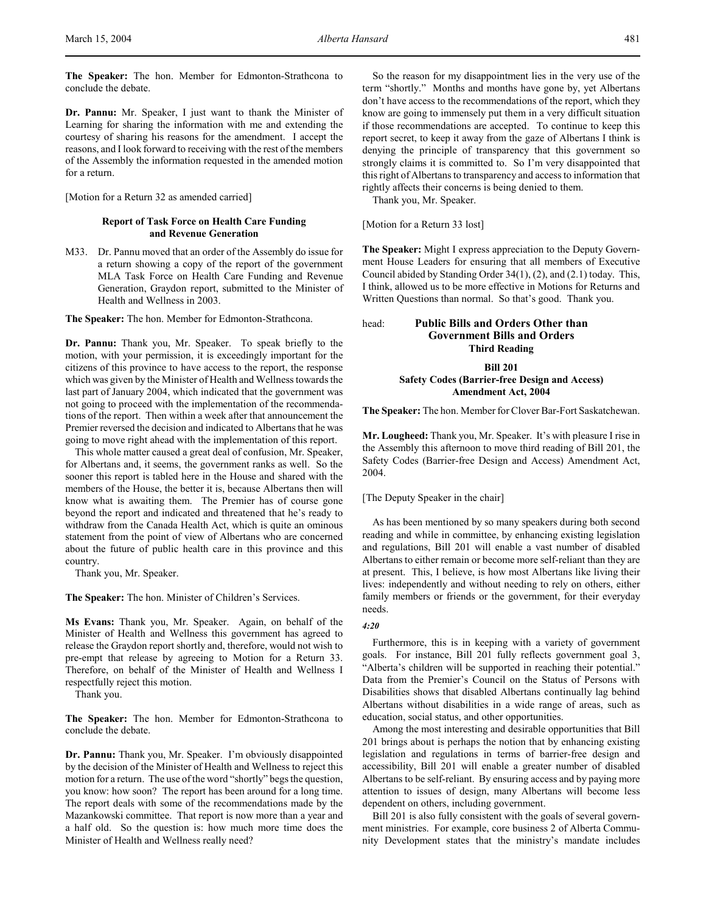**The Speaker:** The hon. Member for Edmonton-Strathcona to conclude the debate.

**Dr. Pannu:** Mr. Speaker, I just want to thank the Minister of Learning for sharing the information with me and extending the courtesy of sharing his reasons for the amendment. I accept the reasons, and I look forward to receiving with the rest of the members of the Assembly the information requested in the amended motion for a return.

[Motion for a Return 32 as amended carried]

# **Report of Task Force on Health Care Funding and Revenue Generation**

M33. Dr. Pannu moved that an order of the Assembly do issue for a return showing a copy of the report of the government MLA Task Force on Health Care Funding and Revenue Generation, Graydon report, submitted to the Minister of Health and Wellness in 2003.

**The Speaker:** The hon. Member for Edmonton-Strathcona.

**Dr. Pannu:** Thank you, Mr. Speaker. To speak briefly to the motion, with your permission, it is exceedingly important for the citizens of this province to have access to the report, the response which was given by the Minister of Health and Wellness towards the last part of January 2004, which indicated that the government was not going to proceed with the implementation of the recommendations of the report. Then within a week after that announcement the Premier reversed the decision and indicated to Albertans that he was going to move right ahead with the implementation of this report.

This whole matter caused a great deal of confusion, Mr. Speaker, for Albertans and, it seems, the government ranks as well. So the sooner this report is tabled here in the House and shared with the members of the House, the better it is, because Albertans then will know what is awaiting them. The Premier has of course gone beyond the report and indicated and threatened that he's ready to withdraw from the Canada Health Act, which is quite an ominous statement from the point of view of Albertans who are concerned about the future of public health care in this province and this country.

Thank you, Mr. Speaker.

**The Speaker:** The hon. Minister of Children's Services.

**Ms Evans:** Thank you, Mr. Speaker. Again, on behalf of the Minister of Health and Wellness this government has agreed to release the Graydon report shortly and, therefore, would not wish to pre-empt that release by agreeing to Motion for a Return 33. Therefore, on behalf of the Minister of Health and Wellness I respectfully reject this motion.

Thank you.

**The Speaker:** The hon. Member for Edmonton-Strathcona to conclude the debate.

**Dr. Pannu:** Thank you, Mr. Speaker. I'm obviously disappointed by the decision of the Minister of Health and Wellness to reject this motion for a return. The use of the word "shortly" begs the question, you know: how soon? The report has been around for a long time. The report deals with some of the recommendations made by the Mazankowski committee. That report is now more than a year and a half old. So the question is: how much more time does the Minister of Health and Wellness really need?

So the reason for my disappointment lies in the very use of the term "shortly." Months and months have gone by, yet Albertans don't have access to the recommendations of the report, which they know are going to immensely put them in a very difficult situation if those recommendations are accepted. To continue to keep this report secret, to keep it away from the gaze of Albertans I think is denying the principle of transparency that this government so strongly claims it is committed to. So I'm very disappointed that this right of Albertans to transparency and access to information that rightly affects their concerns is being denied to them.

Thank you, Mr. Speaker.

[Motion for a Return 33 lost]

**The Speaker:** Might I express appreciation to the Deputy Government House Leaders for ensuring that all members of Executive Council abided by Standing Order 34(1), (2), and (2.1) today. This, I think, allowed us to be more effective in Motions for Returns and Written Questions than normal. So that's good. Thank you.

# head: **Public Bills and Orders Other than Government Bills and Orders Third Reading**

# **Bill 201 Safety Codes (Barrier-free Design and Access) Amendment Act, 2004**

**The Speaker:** The hon. Member for Clover Bar-Fort Saskatchewan.

**Mr. Lougheed:** Thank you, Mr. Speaker. It's with pleasure I rise in the Assembly this afternoon to move third reading of Bill 201, the Safety Codes (Barrier-free Design and Access) Amendment Act, 2004.

[The Deputy Speaker in the chair]

As has been mentioned by so many speakers during both second reading and while in committee, by enhancing existing legislation and regulations, Bill 201 will enable a vast number of disabled Albertans to either remain or become more self-reliant than they are at present. This, I believe, is how most Albertans like living their lives: independently and without needing to rely on others, either family members or friends or the government, for their everyday needs.

# *4:20*

Furthermore, this is in keeping with a variety of government goals. For instance, Bill 201 fully reflects government goal 3, "Alberta's children will be supported in reaching their potential." Data from the Premier's Council on the Status of Persons with Disabilities shows that disabled Albertans continually lag behind Albertans without disabilities in a wide range of areas, such as education, social status, and other opportunities.

Among the most interesting and desirable opportunities that Bill 201 brings about is perhaps the notion that by enhancing existing legislation and regulations in terms of barrier-free design and accessibility, Bill 201 will enable a greater number of disabled Albertans to be self-reliant. By ensuring access and by paying more attention to issues of design, many Albertans will become less dependent on others, including government.

Bill 201 is also fully consistent with the goals of several government ministries. For example, core business 2 of Alberta Community Development states that the ministry's mandate includes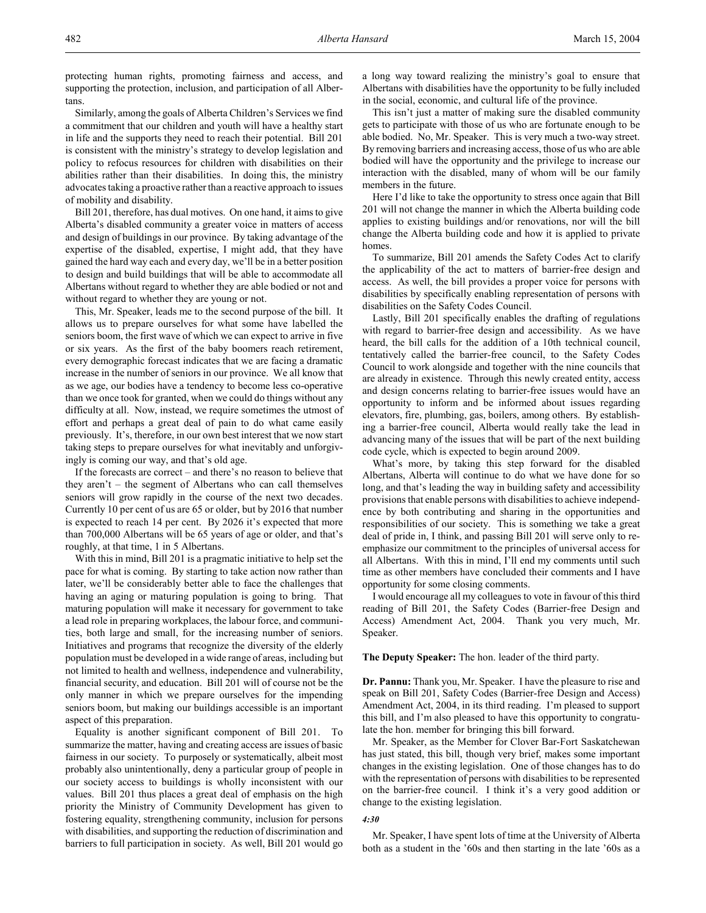Similarly, among the goals of Alberta Children's Services we find a commitment that our children and youth will have a healthy start in life and the supports they need to reach their potential. Bill 201 is consistent with the ministry's strategy to develop legislation and policy to refocus resources for children with disabilities on their abilities rather than their disabilities. In doing this, the ministry advocates taking a proactive rather than a reactive approach to issues of mobility and disability.

Bill 201, therefore, has dual motives. On one hand, it aims to give Alberta's disabled community a greater voice in matters of access and design of buildings in our province. By taking advantage of the expertise of the disabled, expertise, I might add, that they have gained the hard way each and every day, we'll be in a better position to design and build buildings that will be able to accommodate all Albertans without regard to whether they are able bodied or not and without regard to whether they are young or not.

This, Mr. Speaker, leads me to the second purpose of the bill. It allows us to prepare ourselves for what some have labelled the seniors boom, the first wave of which we can expect to arrive in five or six years. As the first of the baby boomers reach retirement, every demographic forecast indicates that we are facing a dramatic increase in the number of seniors in our province. We all know that as we age, our bodies have a tendency to become less co-operative than we once took for granted, when we could do things without any difficulty at all. Now, instead, we require sometimes the utmost of effort and perhaps a great deal of pain to do what came easily previously. It's, therefore, in our own best interest that we now start taking steps to prepare ourselves for what inevitably and unforgivingly is coming our way, and that's old age.

If the forecasts are correct – and there's no reason to believe that they aren't – the segment of Albertans who can call themselves seniors will grow rapidly in the course of the next two decades. Currently 10 per cent of us are 65 or older, but by 2016 that number is expected to reach 14 per cent. By 2026 it's expected that more than 700,000 Albertans will be 65 years of age or older, and that's roughly, at that time, 1 in 5 Albertans.

With this in mind, Bill 201 is a pragmatic initiative to help set the pace for what is coming. By starting to take action now rather than later, we'll be considerably better able to face the challenges that having an aging or maturing population is going to bring. That maturing population will make it necessary for government to take a lead role in preparing workplaces, the labour force, and communities, both large and small, for the increasing number of seniors. Initiatives and programs that recognize the diversity of the elderly population must be developed in a wide range of areas, including but not limited to health and wellness, independence and vulnerability, financial security, and education. Bill 201 will of course not be the only manner in which we prepare ourselves for the impending seniors boom, but making our buildings accessible is an important aspect of this preparation.

Equality is another significant component of Bill 201. To summarize the matter, having and creating access are issues of basic fairness in our society. To purposely or systematically, albeit most probably also unintentionally, deny a particular group of people in our society access to buildings is wholly inconsistent with our values. Bill 201 thus places a great deal of emphasis on the high priority the Ministry of Community Development has given to fostering equality, strengthening community, inclusion for persons with disabilities, and supporting the reduction of discrimination and barriers to full participation in society. As well, Bill 201 would go

a long way toward realizing the ministry's goal to ensure that Albertans with disabilities have the opportunity to be fully included in the social, economic, and cultural life of the province.

This isn't just a matter of making sure the disabled community gets to participate with those of us who are fortunate enough to be able bodied. No, Mr. Speaker. This is very much a two-way street. By removing barriers and increasing access, those of us who are able bodied will have the opportunity and the privilege to increase our interaction with the disabled, many of whom will be our family members in the future.

Here I'd like to take the opportunity to stress once again that Bill 201 will not change the manner in which the Alberta building code applies to existing buildings and/or renovations, nor will the bill change the Alberta building code and how it is applied to private homes.

To summarize, Bill 201 amends the Safety Codes Act to clarify the applicability of the act to matters of barrier-free design and access. As well, the bill provides a proper voice for persons with disabilities by specifically enabling representation of persons with disabilities on the Safety Codes Council.

Lastly, Bill 201 specifically enables the drafting of regulations with regard to barrier-free design and accessibility. As we have heard, the bill calls for the addition of a 10th technical council, tentatively called the barrier-free council, to the Safety Codes Council to work alongside and together with the nine councils that are already in existence. Through this newly created entity, access and design concerns relating to barrier-free issues would have an opportunity to inform and be informed about issues regarding elevators, fire, plumbing, gas, boilers, among others. By establishing a barrier-free council, Alberta would really take the lead in advancing many of the issues that will be part of the next building code cycle, which is expected to begin around 2009.

What's more, by taking this step forward for the disabled Albertans, Alberta will continue to do what we have done for so long, and that's leading the way in building safety and accessibility provisions that enable persons with disabilities to achieve independence by both contributing and sharing in the opportunities and responsibilities of our society. This is something we take a great deal of pride in, I think, and passing Bill 201 will serve only to reemphasize our commitment to the principles of universal access for all Albertans. With this in mind, I'll end my comments until such time as other members have concluded their comments and I have opportunity for some closing comments.

I would encourage all my colleagues to vote in favour of this third reading of Bill 201, the Safety Codes (Barrier-free Design and Access) Amendment Act, 2004. Thank you very much, Mr. Speaker.

**The Deputy Speaker:** The hon. leader of the third party.

**Dr. Pannu:** Thank you, Mr. Speaker. I have the pleasure to rise and speak on Bill 201, Safety Codes (Barrier-free Design and Access) Amendment Act, 2004, in its third reading. I'm pleased to support this bill, and I'm also pleased to have this opportunity to congratulate the hon. member for bringing this bill forward.

Mr. Speaker, as the Member for Clover Bar-Fort Saskatchewan has just stated, this bill, though very brief, makes some important changes in the existing legislation. One of those changes has to do with the representation of persons with disabilities to be represented on the barrier-free council. I think it's a very good addition or change to the existing legislation.

#### *4:30*

Mr. Speaker, I have spent lots of time at the University of Alberta both as a student in the '60s and then starting in the late '60s as a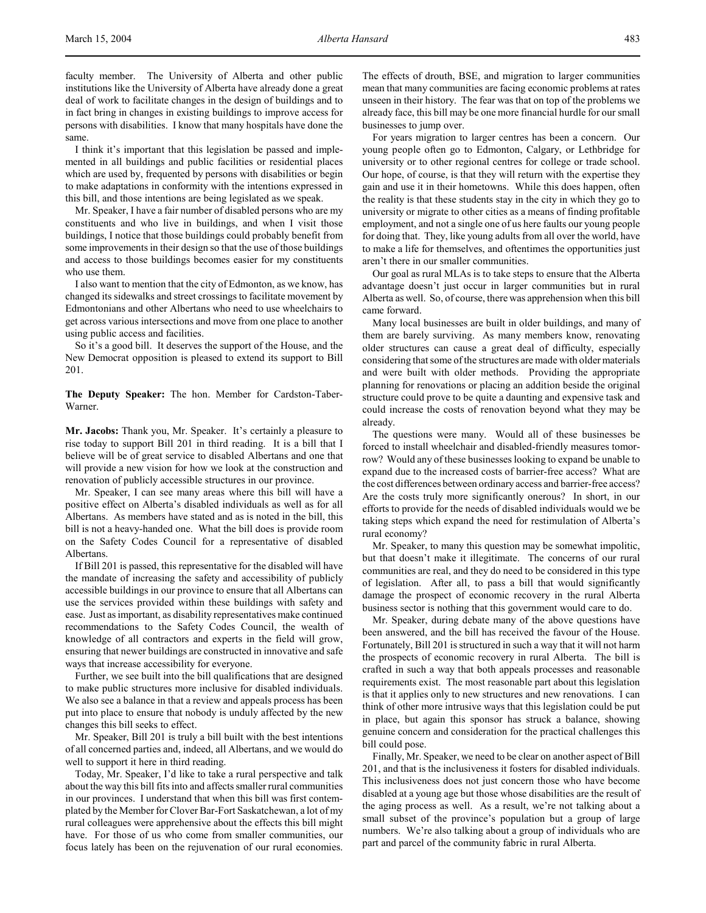faculty member. The University of Alberta and other public institutions like the University of Alberta have already done a great deal of work to facilitate changes in the design of buildings and to in fact bring in changes in existing buildings to improve access for persons with disabilities. I know that many hospitals have done the same.

I think it's important that this legislation be passed and implemented in all buildings and public facilities or residential places which are used by, frequented by persons with disabilities or begin to make adaptations in conformity with the intentions expressed in this bill, and those intentions are being legislated as we speak.

Mr. Speaker, I have a fair number of disabled persons who are my constituents and who live in buildings, and when I visit those buildings, I notice that those buildings could probably benefit from some improvements in their design so that the use of those buildings and access to those buildings becomes easier for my constituents who use them.

I also want to mention that the city of Edmonton, as we know, has changed its sidewalks and street crossings to facilitate movement by Edmontonians and other Albertans who need to use wheelchairs to get across various intersections and move from one place to another using public access and facilities.

So it's a good bill. It deserves the support of the House, and the New Democrat opposition is pleased to extend its support to Bill 201.

**The Deputy Speaker:** The hon. Member for Cardston-Taber-Warner.

**Mr. Jacobs:** Thank you, Mr. Speaker. It's certainly a pleasure to rise today to support Bill 201 in third reading. It is a bill that I believe will be of great service to disabled Albertans and one that will provide a new vision for how we look at the construction and renovation of publicly accessible structures in our province.

Mr. Speaker, I can see many areas where this bill will have a positive effect on Alberta's disabled individuals as well as for all Albertans. As members have stated and as is noted in the bill, this bill is not a heavy-handed one. What the bill does is provide room on the Safety Codes Council for a representative of disabled Albertans.

If Bill 201 is passed, this representative for the disabled will have the mandate of increasing the safety and accessibility of publicly accessible buildings in our province to ensure that all Albertans can use the services provided within these buildings with safety and ease. Just as important, as disability representatives make continued recommendations to the Safety Codes Council, the wealth of knowledge of all contractors and experts in the field will grow, ensuring that newer buildings are constructed in innovative and safe ways that increase accessibility for everyone.

Further, we see built into the bill qualifications that are designed to make public structures more inclusive for disabled individuals. We also see a balance in that a review and appeals process has been put into place to ensure that nobody is unduly affected by the new changes this bill seeks to effect.

Mr. Speaker, Bill 201 is truly a bill built with the best intentions of all concerned parties and, indeed, all Albertans, and we would do well to support it here in third reading.

Today, Mr. Speaker, I'd like to take a rural perspective and talk about the way this bill fits into and affects smaller rural communities in our provinces. I understand that when this bill was first contemplated by the Member for Clover Bar-Fort Saskatchewan, a lot of my rural colleagues were apprehensive about the effects this bill might have. For those of us who come from smaller communities, our focus lately has been on the rejuvenation of our rural economies.

The effects of drouth, BSE, and migration to larger communities mean that many communities are facing economic problems at rates unseen in their history. The fear was that on top of the problems we already face, this bill may be one more financial hurdle for our small businesses to jump over.

For years migration to larger centres has been a concern. Our young people often go to Edmonton, Calgary, or Lethbridge for university or to other regional centres for college or trade school. Our hope, of course, is that they will return with the expertise they gain and use it in their hometowns. While this does happen, often the reality is that these students stay in the city in which they go to university or migrate to other cities as a means of finding profitable employment, and not a single one of us here faults our young people for doing that. They, like young adults from all over the world, have to make a life for themselves, and oftentimes the opportunities just aren't there in our smaller communities.

Our goal as rural MLAs is to take steps to ensure that the Alberta advantage doesn't just occur in larger communities but in rural Alberta as well. So, of course, there was apprehension when this bill came forward.

Many local businesses are built in older buildings, and many of them are barely surviving. As many members know, renovating older structures can cause a great deal of difficulty, especially considering that some of the structures are made with older materials and were built with older methods. Providing the appropriate planning for renovations or placing an addition beside the original structure could prove to be quite a daunting and expensive task and could increase the costs of renovation beyond what they may be already.

The questions were many. Would all of these businesses be forced to install wheelchair and disabled-friendly measures tomorrow? Would any of these businesses looking to expand be unable to expand due to the increased costs of barrier-free access? What are the cost differences between ordinary access and barrier-free access? Are the costs truly more significantly onerous? In short, in our efforts to provide for the needs of disabled individuals would we be taking steps which expand the need for restimulation of Alberta's rural economy?

Mr. Speaker, to many this question may be somewhat impolitic, but that doesn't make it illegitimate. The concerns of our rural communities are real, and they do need to be considered in this type of legislation. After all, to pass a bill that would significantly damage the prospect of economic recovery in the rural Alberta business sector is nothing that this government would care to do.

Mr. Speaker, during debate many of the above questions have been answered, and the bill has received the favour of the House. Fortunately, Bill 201 is structured in such a way that it will not harm the prospects of economic recovery in rural Alberta. The bill is crafted in such a way that both appeals processes and reasonable requirements exist. The most reasonable part about this legislation is that it applies only to new structures and new renovations. I can think of other more intrusive ways that this legislation could be put in place, but again this sponsor has struck a balance, showing genuine concern and consideration for the practical challenges this bill could pose.

Finally, Mr. Speaker, we need to be clear on another aspect of Bill 201, and that is the inclusiveness it fosters for disabled individuals. This inclusiveness does not just concern those who have become disabled at a young age but those whose disabilities are the result of the aging process as well. As a result, we're not talking about a small subset of the province's population but a group of large numbers. We're also talking about a group of individuals who are part and parcel of the community fabric in rural Alberta.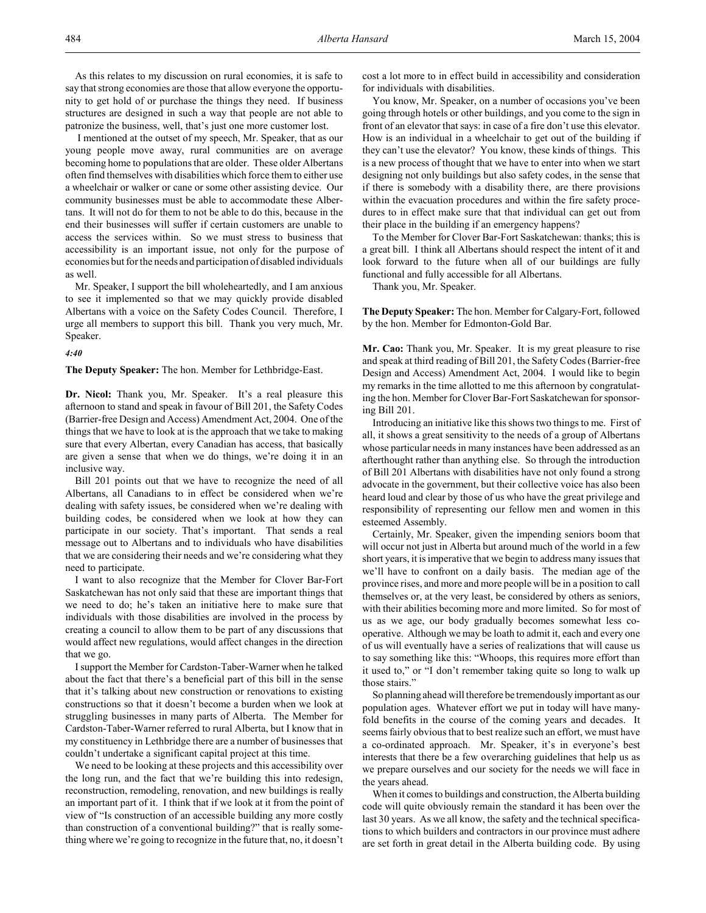I mentioned at the outset of my speech, Mr. Speaker, that as our young people move away, rural communities are on average becoming home to populations that are older. These older Albertans often find themselves with disabilities which force them to either use a wheelchair or walker or cane or some other assisting device. Our community businesses must be able to accommodate these Albertans. It will not do for them to not be able to do this, because in the end their businesses will suffer if certain customers are unable to access the services within. So we must stress to business that accessibility is an important issue, not only for the purpose of economies but for the needs and participation of disabled individuals as well.

Mr. Speaker, I support the bill wholeheartedly, and I am anxious to see it implemented so that we may quickly provide disabled Albertans with a voice on the Safety Codes Council. Therefore, I urge all members to support this bill. Thank you very much, Mr. Speaker.

### *4:40*

**The Deputy Speaker:** The hon. Member for Lethbridge-East.

**Dr. Nicol:** Thank you, Mr. Speaker. It's a real pleasure this afternoon to stand and speak in favour of Bill 201, the Safety Codes (Barrier-free Design and Access) Amendment Act, 2004. One of the things that we have to look at is the approach that we take to making sure that every Albertan, every Canadian has access, that basically are given a sense that when we do things, we're doing it in an inclusive way.

Bill 201 points out that we have to recognize the need of all Albertans, all Canadians to in effect be considered when we're dealing with safety issues, be considered when we're dealing with building codes, be considered when we look at how they can participate in our society. That's important. That sends a real message out to Albertans and to individuals who have disabilities that we are considering their needs and we're considering what they need to participate.

I want to also recognize that the Member for Clover Bar-Fort Saskatchewan has not only said that these are important things that we need to do; he's taken an initiative here to make sure that individuals with those disabilities are involved in the process by creating a council to allow them to be part of any discussions that would affect new regulations, would affect changes in the direction that we go.

I support the Member for Cardston-Taber-Warner when he talked about the fact that there's a beneficial part of this bill in the sense that it's talking about new construction or renovations to existing constructions so that it doesn't become a burden when we look at struggling businesses in many parts of Alberta. The Member for Cardston-Taber-Warner referred to rural Alberta, but I know that in my constituency in Lethbridge there are a number of businesses that couldn't undertake a significant capital project at this time.

We need to be looking at these projects and this accessibility over the long run, and the fact that we're building this into redesign, reconstruction, remodeling, renovation, and new buildings is really an important part of it. I think that if we look at it from the point of view of "Is construction of an accessible building any more costly than construction of a conventional building?" that is really something where we're going to recognize in the future that, no, it doesn't

cost a lot more to in effect build in accessibility and consideration for individuals with disabilities.

You know, Mr. Speaker, on a number of occasions you've been going through hotels or other buildings, and you come to the sign in front of an elevator that says: in case of a fire don't use this elevator. How is an individual in a wheelchair to get out of the building if they can't use the elevator? You know, these kinds of things. This is a new process of thought that we have to enter into when we start designing not only buildings but also safety codes, in the sense that if there is somebody with a disability there, are there provisions within the evacuation procedures and within the fire safety procedures to in effect make sure that that individual can get out from their place in the building if an emergency happens?

To the Member for Clover Bar-Fort Saskatchewan: thanks; this is a great bill. I think all Albertans should respect the intent of it and look forward to the future when all of our buildings are fully functional and fully accessible for all Albertans.

Thank you, Mr. Speaker.

**The Deputy Speaker:** The hon. Member for Calgary-Fort, followed by the hon. Member for Edmonton-Gold Bar.

**Mr. Cao:** Thank you, Mr. Speaker. It is my great pleasure to rise and speak at third reading of Bill 201, the Safety Codes (Barrier-free Design and Access) Amendment Act, 2004. I would like to begin my remarks in the time allotted to me this afternoon by congratulating the hon. Member for Clover Bar-Fort Saskatchewan for sponsoring Bill 201.

Introducing an initiative like this shows two things to me. First of all, it shows a great sensitivity to the needs of a group of Albertans whose particular needs in many instances have been addressed as an afterthought rather than anything else. So through the introduction of Bill 201 Albertans with disabilities have not only found a strong advocate in the government, but their collective voice has also been heard loud and clear by those of us who have the great privilege and responsibility of representing our fellow men and women in this esteemed Assembly.

Certainly, Mr. Speaker, given the impending seniors boom that will occur not just in Alberta but around much of the world in a few short years, it is imperative that we begin to address many issues that we'll have to confront on a daily basis. The median age of the province rises, and more and more people will be in a position to call themselves or, at the very least, be considered by others as seniors, with their abilities becoming more and more limited. So for most of us as we age, our body gradually becomes somewhat less cooperative. Although we may be loath to admit it, each and every one of us will eventually have a series of realizations that will cause us to say something like this: "Whoops, this requires more effort than it used to," or "I don't remember taking quite so long to walk up those stairs."

So planning ahead will therefore be tremendously important as our population ages. Whatever effort we put in today will have manyfold benefits in the course of the coming years and decades. It seems fairly obvious that to best realize such an effort, we must have a co-ordinated approach. Mr. Speaker, it's in everyone's best interests that there be a few overarching guidelines that help us as we prepare ourselves and our society for the needs we will face in the years ahead.

When it comes to buildings and construction, the Alberta building code will quite obviously remain the standard it has been over the last 30 years. As we all know, the safety and the technical specifications to which builders and contractors in our province must adhere are set forth in great detail in the Alberta building code. By using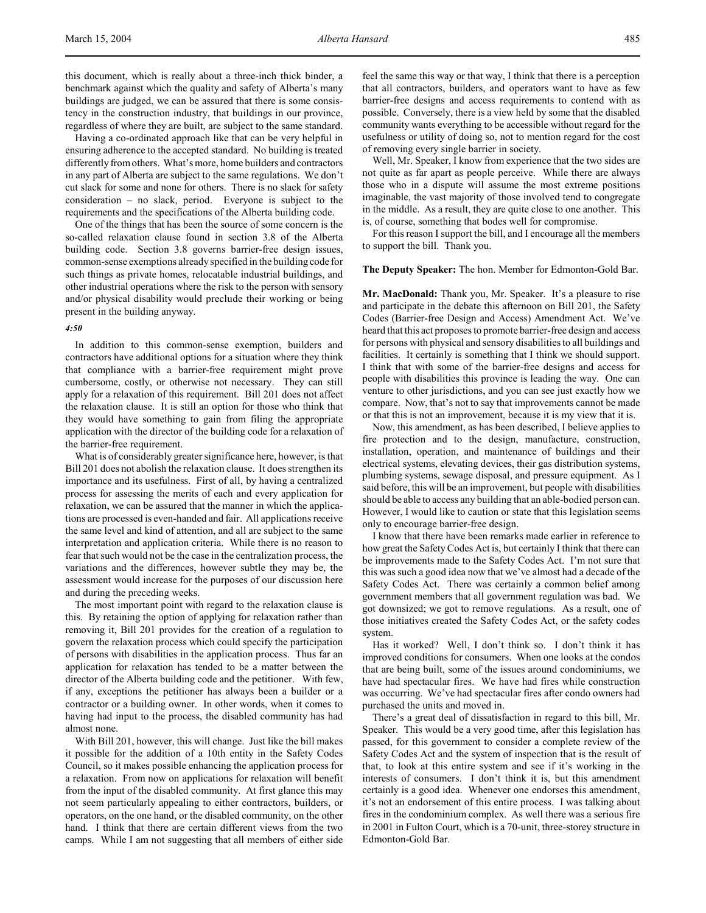this document, which is really about a three-inch thick binder, a benchmark against which the quality and safety of Alberta's many buildings are judged, we can be assured that there is some consistency in the construction industry, that buildings in our province, regardless of where they are built, are subject to the same standard.

Having a co-ordinated approach like that can be very helpful in ensuring adherence to the accepted standard. No building is treated differently from others. What's more, home builders and contractors in any part of Alberta are subject to the same regulations. We don't cut slack for some and none for others. There is no slack for safety consideration – no slack, period. Everyone is subject to the requirements and the specifications of the Alberta building code.

One of the things that has been the source of some concern is the so-called relaxation clause found in section 3.8 of the Alberta building code. Section 3.8 governs barrier-free design issues, common-sense exemptions already specified in the building code for such things as private homes, relocatable industrial buildings, and other industrial operations where the risk to the person with sensory and/or physical disability would preclude their working or being present in the building anyway.

### *4:50*

In addition to this common-sense exemption, builders and contractors have additional options for a situation where they think that compliance with a barrier-free requirement might prove cumbersome, costly, or otherwise not necessary. They can still apply for a relaxation of this requirement. Bill 201 does not affect the relaxation clause. It is still an option for those who think that they would have something to gain from filing the appropriate application with the director of the building code for a relaxation of the barrier-free requirement.

What is of considerably greater significance here, however, is that Bill 201 does not abolish the relaxation clause. It does strengthen its importance and its usefulness. First of all, by having a centralized process for assessing the merits of each and every application for relaxation, we can be assured that the manner in which the applications are processed is even-handed and fair. All applications receive the same level and kind of attention, and all are subject to the same interpretation and application criteria. While there is no reason to fear that such would not be the case in the centralization process, the variations and the differences, however subtle they may be, the assessment would increase for the purposes of our discussion here and during the preceding weeks.

The most important point with regard to the relaxation clause is this. By retaining the option of applying for relaxation rather than removing it, Bill 201 provides for the creation of a regulation to govern the relaxation process which could specify the participation of persons with disabilities in the application process. Thus far an application for relaxation has tended to be a matter between the director of the Alberta building code and the petitioner. With few, if any, exceptions the petitioner has always been a builder or a contractor or a building owner. In other words, when it comes to having had input to the process, the disabled community has had almost none.

With Bill 201, however, this will change. Just like the bill makes it possible for the addition of a 10th entity in the Safety Codes Council, so it makes possible enhancing the application process for a relaxation. From now on applications for relaxation will benefit from the input of the disabled community. At first glance this may not seem particularly appealing to either contractors, builders, or operators, on the one hand, or the disabled community, on the other hand. I think that there are certain different views from the two camps. While I am not suggesting that all members of either side

feel the same this way or that way, I think that there is a perception that all contractors, builders, and operators want to have as few barrier-free designs and access requirements to contend with as possible. Conversely, there is a view held by some that the disabled community wants everything to be accessible without regard for the usefulness or utility of doing so, not to mention regard for the cost of removing every single barrier in society.

Well, Mr. Speaker, I know from experience that the two sides are not quite as far apart as people perceive. While there are always those who in a dispute will assume the most extreme positions imaginable, the vast majority of those involved tend to congregate in the middle. As a result, they are quite close to one another. This is, of course, something that bodes well for compromise.

For this reason I support the bill, and I encourage all the members to support the bill. Thank you.

#### **The Deputy Speaker:** The hon. Member for Edmonton-Gold Bar.

**Mr. MacDonald:** Thank you, Mr. Speaker. It's a pleasure to rise and participate in the debate this afternoon on Bill 201, the Safety Codes (Barrier-free Design and Access) Amendment Act. We've heard that this act proposes to promote barrier-free design and access for persons with physical and sensory disabilities to all buildings and facilities. It certainly is something that I think we should support. I think that with some of the barrier-free designs and access for people with disabilities this province is leading the way. One can venture to other jurisdictions, and you can see just exactly how we compare. Now, that's not to say that improvements cannot be made or that this is not an improvement, because it is my view that it is.

Now, this amendment, as has been described, I believe applies to fire protection and to the design, manufacture, construction, installation, operation, and maintenance of buildings and their electrical systems, elevating devices, their gas distribution systems, plumbing systems, sewage disposal, and pressure equipment. As I said before, this will be an improvement, but people with disabilities should be able to access any building that an able-bodied person can. However, I would like to caution or state that this legislation seems only to encourage barrier-free design.

I know that there have been remarks made earlier in reference to how great the Safety Codes Act is, but certainly I think that there can be improvements made to the Safety Codes Act. I'm not sure that this was such a good idea now that we've almost had a decade of the Safety Codes Act. There was certainly a common belief among government members that all government regulation was bad. We got downsized; we got to remove regulations. As a result, one of those initiatives created the Safety Codes Act, or the safety codes system.

Has it worked? Well, I don't think so. I don't think it has improved conditions for consumers. When one looks at the condos that are being built, some of the issues around condominiums, we have had spectacular fires. We have had fires while construction was occurring. We've had spectacular fires after condo owners had purchased the units and moved in.

There's a great deal of dissatisfaction in regard to this bill, Mr. Speaker. This would be a very good time, after this legislation has passed, for this government to consider a complete review of the Safety Codes Act and the system of inspection that is the result of that, to look at this entire system and see if it's working in the interests of consumers. I don't think it is, but this amendment certainly is a good idea. Whenever one endorses this amendment, it's not an endorsement of this entire process. I was talking about fires in the condominium complex. As well there was a serious fire in 2001 in Fulton Court, which is a 70-unit, three-storey structure in Edmonton-Gold Bar.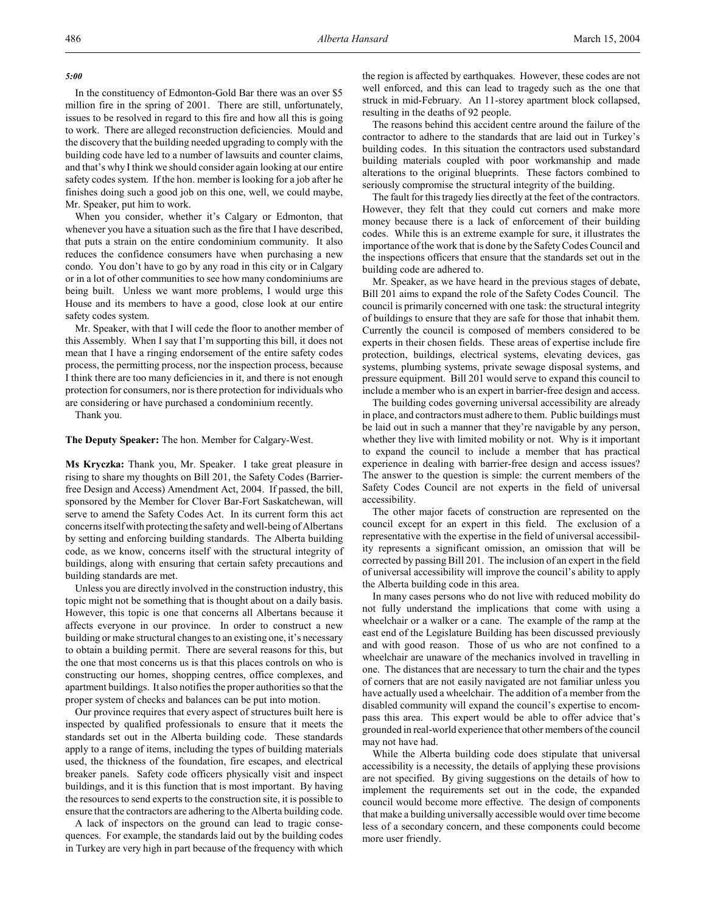In the constituency of Edmonton-Gold Bar there was an over \$5 million fire in the spring of 2001. There are still, unfortunately, issues to be resolved in regard to this fire and how all this is going to work. There are alleged reconstruction deficiencies. Mould and the discovery that the building needed upgrading to comply with the building code have led to a number of lawsuits and counter claims, and that's why I think we should consider again looking at our entire safety codes system. If the hon. member is looking for a job after he finishes doing such a good job on this one, well, we could maybe, Mr. Speaker, put him to work.

When you consider, whether it's Calgary or Edmonton, that whenever you have a situation such as the fire that I have described, that puts a strain on the entire condominium community. It also reduces the confidence consumers have when purchasing a new condo. You don't have to go by any road in this city or in Calgary or in a lot of other communities to see how many condominiums are being built. Unless we want more problems, I would urge this House and its members to have a good, close look at our entire safety codes system.

Mr. Speaker, with that I will cede the floor to another member of this Assembly. When I say that I'm supporting this bill, it does not mean that I have a ringing endorsement of the entire safety codes process, the permitting process, nor the inspection process, because I think there are too many deficiencies in it, and there is not enough protection for consumers, nor is there protection for individuals who are considering or have purchased a condominium recently.

Thank you.

#### **The Deputy Speaker:** The hon. Member for Calgary-West.

**Ms Kryczka:** Thank you, Mr. Speaker. I take great pleasure in rising to share my thoughts on Bill 201, the Safety Codes (Barrierfree Design and Access) Amendment Act, 2004. If passed, the bill, sponsored by the Member for Clover Bar-Fort Saskatchewan, will serve to amend the Safety Codes Act. In its current form this act concerns itself with protecting the safety and well-being of Albertans by setting and enforcing building standards. The Alberta building code, as we know, concerns itself with the structural integrity of buildings, along with ensuring that certain safety precautions and building standards are met.

Unless you are directly involved in the construction industry, this topic might not be something that is thought about on a daily basis. However, this topic is one that concerns all Albertans because it affects everyone in our province. In order to construct a new building or make structural changes to an existing one, it's necessary to obtain a building permit. There are several reasons for this, but the one that most concerns us is that this places controls on who is constructing our homes, shopping centres, office complexes, and apartment buildings. It also notifies the proper authorities so that the proper system of checks and balances can be put into motion.

Our province requires that every aspect of structures built here is inspected by qualified professionals to ensure that it meets the standards set out in the Alberta building code. These standards apply to a range of items, including the types of building materials used, the thickness of the foundation, fire escapes, and electrical breaker panels. Safety code officers physically visit and inspect buildings, and it is this function that is most important. By having the resources to send experts to the construction site, it is possible to ensure that the contractors are adhering to the Alberta building code.

A lack of inspectors on the ground can lead to tragic consequences. For example, the standards laid out by the building codes in Turkey are very high in part because of the frequency with which the region is affected by earthquakes. However, these codes are not well enforced, and this can lead to tragedy such as the one that struck in mid-February. An 11-storey apartment block collapsed, resulting in the deaths of 92 people.

The reasons behind this accident centre around the failure of the contractor to adhere to the standards that are laid out in Turkey's building codes. In this situation the contractors used substandard building materials coupled with poor workmanship and made alterations to the original blueprints. These factors combined to seriously compromise the structural integrity of the building.

The fault for this tragedy lies directly at the feet of the contractors. However, they felt that they could cut corners and make more money because there is a lack of enforcement of their building codes. While this is an extreme example for sure, it illustrates the importance of the work that is done by the Safety Codes Council and the inspections officers that ensure that the standards set out in the building code are adhered to.

Mr. Speaker, as we have heard in the previous stages of debate, Bill 201 aims to expand the role of the Safety Codes Council. The council is primarily concerned with one task: the structural integrity of buildings to ensure that they are safe for those that inhabit them. Currently the council is composed of members considered to be experts in their chosen fields. These areas of expertise include fire protection, buildings, electrical systems, elevating devices, gas systems, plumbing systems, private sewage disposal systems, and pressure equipment. Bill 201 would serve to expand this council to include a member who is an expert in barrier-free design and access.

The building codes governing universal accessibility are already in place, and contractors must adhere to them. Public buildings must be laid out in such a manner that they're navigable by any person, whether they live with limited mobility or not. Why is it important to expand the council to include a member that has practical experience in dealing with barrier-free design and access issues? The answer to the question is simple: the current members of the Safety Codes Council are not experts in the field of universal accessibility.

The other major facets of construction are represented on the council except for an expert in this field. The exclusion of a representative with the expertise in the field of universal accessibility represents a significant omission, an omission that will be corrected by passing Bill 201. The inclusion of an expert in the field of universal accessibility will improve the council's ability to apply the Alberta building code in this area.

In many cases persons who do not live with reduced mobility do not fully understand the implications that come with using a wheelchair or a walker or a cane. The example of the ramp at the east end of the Legislature Building has been discussed previously and with good reason. Those of us who are not confined to a wheelchair are unaware of the mechanics involved in travelling in one. The distances that are necessary to turn the chair and the types of corners that are not easily navigated are not familiar unless you have actually used a wheelchair. The addition of a member from the disabled community will expand the council's expertise to encompass this area. This expert would be able to offer advice that's grounded in real-world experience that other members of the council may not have had.

While the Alberta building code does stipulate that universal accessibility is a necessity, the details of applying these provisions are not specified. By giving suggestions on the details of how to implement the requirements set out in the code, the expanded council would become more effective. The design of components that make a building universally accessible would over time become less of a secondary concern, and these components could become more user friendly.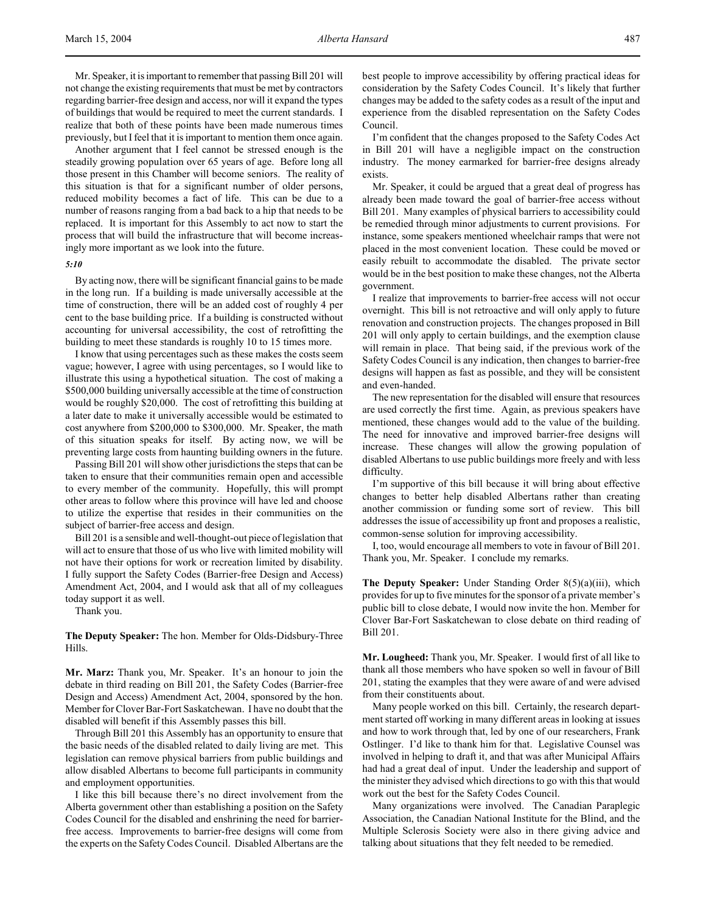Mr. Speaker, it is important to remember that passing Bill 201 will not change the existing requirements that must be met by contractors regarding barrier-free design and access, nor will it expand the types of buildings that would be required to meet the current standards. I realize that both of these points have been made numerous times previously, but I feel that it is important to mention them once again.

Another argument that I feel cannot be stressed enough is the steadily growing population over 65 years of age. Before long all those present in this Chamber will become seniors. The reality of this situation is that for a significant number of older persons, reduced mobility becomes a fact of life. This can be due to a number of reasons ranging from a bad back to a hip that needs to be replaced. It is important for this Assembly to act now to start the process that will build the infrastructure that will become increasingly more important as we look into the future.

# *5:10*

By acting now, there will be significant financial gains to be made in the long run. If a building is made universally accessible at the time of construction, there will be an added cost of roughly 4 per cent to the base building price. If a building is constructed without accounting for universal accessibility, the cost of retrofitting the building to meet these standards is roughly 10 to 15 times more.

I know that using percentages such as these makes the costs seem vague; however, I agree with using percentages, so I would like to illustrate this using a hypothetical situation. The cost of making a \$500,000 building universally accessible at the time of construction would be roughly \$20,000. The cost of retrofitting this building at a later date to make it universally accessible would be estimated to cost anywhere from \$200,000 to \$300,000. Mr. Speaker, the math of this situation speaks for itself. By acting now, we will be preventing large costs from haunting building owners in the future.

Passing Bill 201 will show other jurisdictions the steps that can be taken to ensure that their communities remain open and accessible to every member of the community. Hopefully, this will prompt other areas to follow where this province will have led and choose to utilize the expertise that resides in their communities on the subject of barrier-free access and design.

Bill 201 is a sensible and well-thought-out piece of legislation that will act to ensure that those of us who live with limited mobility will not have their options for work or recreation limited by disability. I fully support the Safety Codes (Barrier-free Design and Access) Amendment Act, 2004, and I would ask that all of my colleagues today support it as well.

Thank you.

**The Deputy Speaker:** The hon. Member for Olds-Didsbury-Three Hills.

**Mr. Marz:** Thank you, Mr. Speaker. It's an honour to join the debate in third reading on Bill 201, the Safety Codes (Barrier-free Design and Access) Amendment Act, 2004, sponsored by the hon. Member for Clover Bar-Fort Saskatchewan. I have no doubt that the disabled will benefit if this Assembly passes this bill.

Through Bill 201 this Assembly has an opportunity to ensure that the basic needs of the disabled related to daily living are met. This legislation can remove physical barriers from public buildings and allow disabled Albertans to become full participants in community and employment opportunities.

I like this bill because there's no direct involvement from the Alberta government other than establishing a position on the Safety Codes Council for the disabled and enshrining the need for barrierfree access. Improvements to barrier-free designs will come from the experts on the Safety Codes Council. Disabled Albertans are the

best people to improve accessibility by offering practical ideas for consideration by the Safety Codes Council. It's likely that further changes may be added to the safety codes as a result of the input and experience from the disabled representation on the Safety Codes Council.

I'm confident that the changes proposed to the Safety Codes Act in Bill 201 will have a negligible impact on the construction industry. The money earmarked for barrier-free designs already exists.

Mr. Speaker, it could be argued that a great deal of progress has already been made toward the goal of barrier-free access without Bill 201. Many examples of physical barriers to accessibility could be remedied through minor adjustments to current provisions. For instance, some speakers mentioned wheelchair ramps that were not placed in the most convenient location. These could be moved or easily rebuilt to accommodate the disabled. The private sector would be in the best position to make these changes, not the Alberta government.

I realize that improvements to barrier-free access will not occur overnight. This bill is not retroactive and will only apply to future renovation and construction projects. The changes proposed in Bill 201 will only apply to certain buildings, and the exemption clause will remain in place. That being said, if the previous work of the Safety Codes Council is any indication, then changes to barrier-free designs will happen as fast as possible, and they will be consistent and even-handed.

The new representation for the disabled will ensure that resources are used correctly the first time. Again, as previous speakers have mentioned, these changes would add to the value of the building. The need for innovative and improved barrier-free designs will increase. These changes will allow the growing population of disabled Albertans to use public buildings more freely and with less difficulty.

I'm supportive of this bill because it will bring about effective changes to better help disabled Albertans rather than creating another commission or funding some sort of review. This bill addresses the issue of accessibility up front and proposes a realistic, common-sense solution for improving accessibility.

I, too, would encourage all members to vote in favour of Bill 201. Thank you, Mr. Speaker. I conclude my remarks.

**The Deputy Speaker:** Under Standing Order 8(5)(a)(iii), which provides for up to five minutes for the sponsor of a private member's public bill to close debate, I would now invite the hon. Member for Clover Bar-Fort Saskatchewan to close debate on third reading of Bill 201.

**Mr. Lougheed:** Thank you, Mr. Speaker. I would first of all like to thank all those members who have spoken so well in favour of Bill 201, stating the examples that they were aware of and were advised from their constituents about.

Many people worked on this bill. Certainly, the research department started off working in many different areas in looking at issues and how to work through that, led by one of our researchers, Frank Ostlinger. I'd like to thank him for that. Legislative Counsel was involved in helping to draft it, and that was after Municipal Affairs had had a great deal of input. Under the leadership and support of the minister they advised which directions to go with this that would work out the best for the Safety Codes Council.

Many organizations were involved. The Canadian Paraplegic Association, the Canadian National Institute for the Blind, and the Multiple Sclerosis Society were also in there giving advice and talking about situations that they felt needed to be remedied.